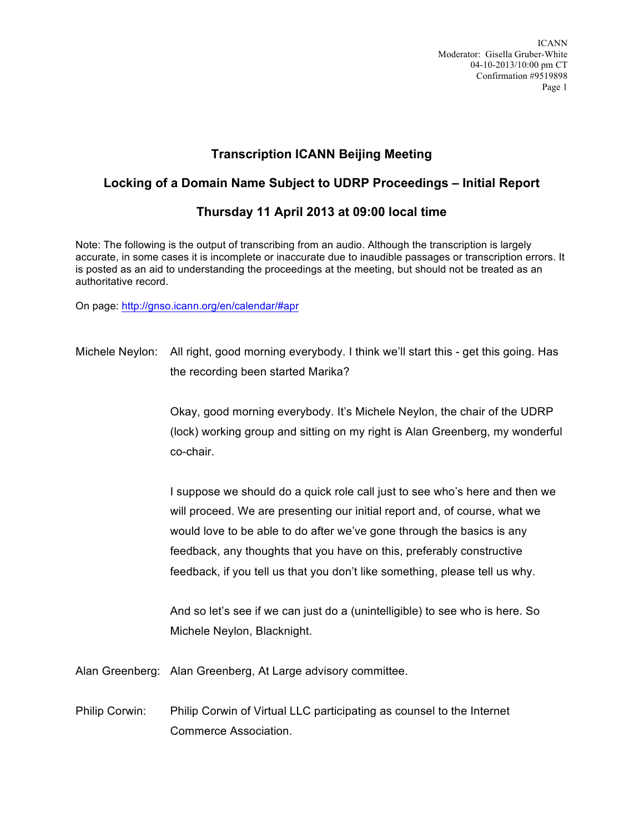## **Transcription ICANN Beijing Meeting**

## **Locking of a Domain Name Subject to UDRP Proceedings – Initial Report**

## **Thursday 11 April 2013 at 09:00 local time**

Note: The following is the output of transcribing from an audio. Although the transcription is largely accurate, in some cases it is incomplete or inaccurate due to inaudible passages or transcription errors. It is posted as an aid to understanding the proceedings at the meeting, but should not be treated as an authoritative record.

On page: http://gnso.icann.org/en/calendar/#apr

Michele Neylon: All right, good morning everybody. I think we'll start this - get this going. Has the recording been started Marika?

> Okay, good morning everybody. It's Michele Neylon, the chair of the UDRP (lock) working group and sitting on my right is Alan Greenberg, my wonderful co-chair.

I suppose we should do a quick role call just to see who's here and then we will proceed. We are presenting our initial report and, of course, what we would love to be able to do after we've gone through the basics is any feedback, any thoughts that you have on this, preferably constructive feedback, if you tell us that you don't like something, please tell us why.

And so let's see if we can just do a (unintelligible) to see who is here. So Michele Neylon, Blacknight.

Alan Greenberg: Alan Greenberg, At Large advisory committee.

Philip Corwin: Philip Corwin of Virtual LLC participating as counsel to the Internet Commerce Association.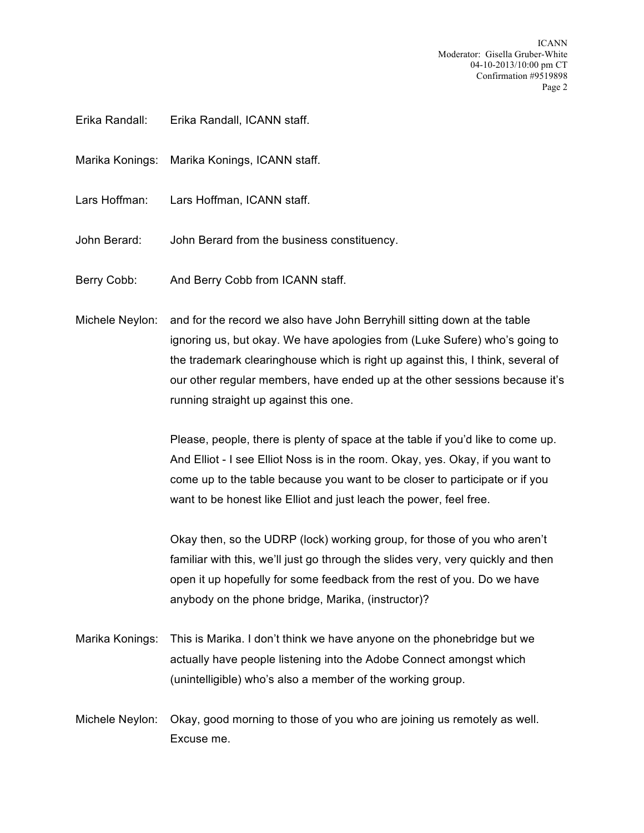- Erika Randall: Erika Randall, ICANN staff.
- Marika Konings: Marika Konings, ICANN staff.
- Lars Hoffman: Lars Hoffman, ICANN staff.
- John Berard: John Berard from the business constituency.
- Berry Cobb: And Berry Cobb from ICANN staff.
- Michele Neylon: and for the record we also have John Berryhill sitting down at the table ignoring us, but okay. We have apologies from (Luke Sufere) who's going to the trademark clearinghouse which is right up against this, I think, several of our other regular members, have ended up at the other sessions because it's running straight up against this one.

Please, people, there is plenty of space at the table if you'd like to come up. And Elliot - I see Elliot Noss is in the room. Okay, yes. Okay, if you want to come up to the table because you want to be closer to participate or if you want to be honest like Elliot and just leach the power, feel free.

Okay then, so the UDRP (lock) working group, for those of you who aren't familiar with this, we'll just go through the slides very, very quickly and then open it up hopefully for some feedback from the rest of you. Do we have anybody on the phone bridge, Marika, (instructor)?

- Marika Konings: This is Marika. I don't think we have anyone on the phonebridge but we actually have people listening into the Adobe Connect amongst which (unintelligible) who's also a member of the working group.
- Michele Neylon: Okay, good morning to those of you who are joining us remotely as well. Excuse me.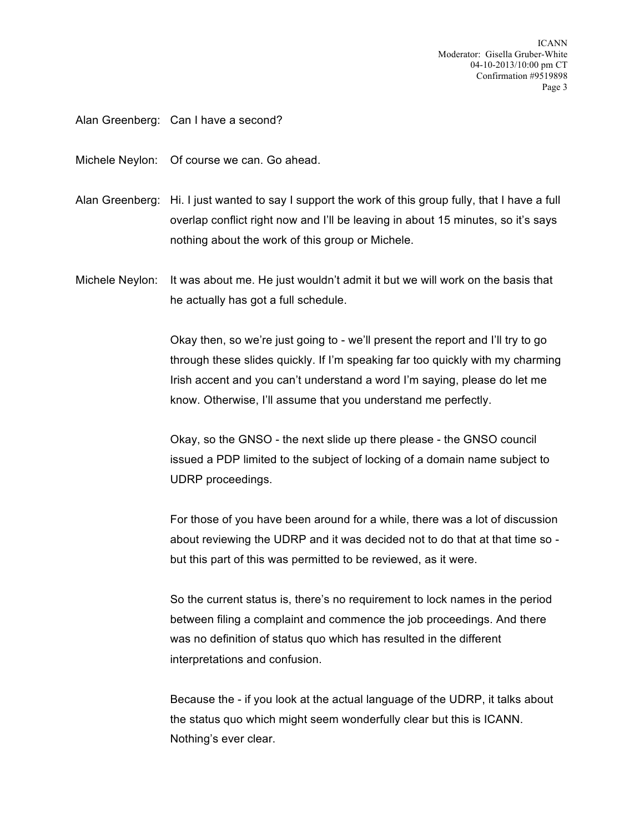Alan Greenberg: Can I have a second?

Michele Neylon: Of course we can. Go ahead.

- Alan Greenberg: Hi. I just wanted to say I support the work of this group fully, that I have a full overlap conflict right now and I'll be leaving in about 15 minutes, so it's says nothing about the work of this group or Michele.
- Michele Neylon: It was about me. He just wouldn't admit it but we will work on the basis that he actually has got a full schedule.

Okay then, so we're just going to - we'll present the report and I'll try to go through these slides quickly. If I'm speaking far too quickly with my charming Irish accent and you can't understand a word I'm saying, please do let me know. Otherwise, I'll assume that you understand me perfectly.

Okay, so the GNSO - the next slide up there please - the GNSO council issued a PDP limited to the subject of locking of a domain name subject to UDRP proceedings.

For those of you have been around for a while, there was a lot of discussion about reviewing the UDRP and it was decided not to do that at that time so but this part of this was permitted to be reviewed, as it were.

So the current status is, there's no requirement to lock names in the period between filing a complaint and commence the job proceedings. And there was no definition of status quo which has resulted in the different interpretations and confusion.

Because the - if you look at the actual language of the UDRP, it talks about the status quo which might seem wonderfully clear but this is ICANN. Nothing's ever clear.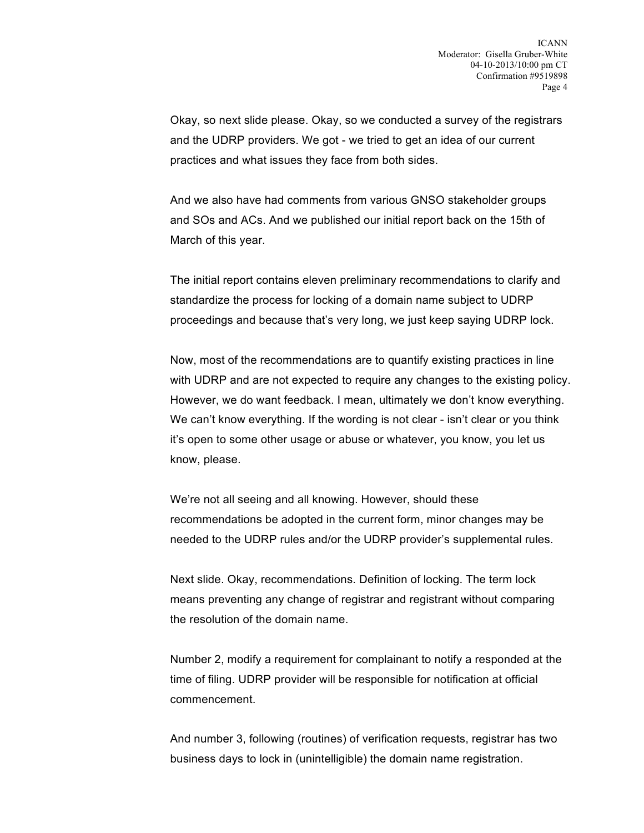Okay, so next slide please. Okay, so we conducted a survey of the registrars and the UDRP providers. We got - we tried to get an idea of our current practices and what issues they face from both sides.

And we also have had comments from various GNSO stakeholder groups and SOs and ACs. And we published our initial report back on the 15th of March of this year.

The initial report contains eleven preliminary recommendations to clarify and standardize the process for locking of a domain name subject to UDRP proceedings and because that's very long, we just keep saying UDRP lock.

Now, most of the recommendations are to quantify existing practices in line with UDRP and are not expected to require any changes to the existing policy. However, we do want feedback. I mean, ultimately we don't know everything. We can't know everything. If the wording is not clear - isn't clear or you think it's open to some other usage or abuse or whatever, you know, you let us know, please.

We're not all seeing and all knowing. However, should these recommendations be adopted in the current form, minor changes may be needed to the UDRP rules and/or the UDRP provider's supplemental rules.

Next slide. Okay, recommendations. Definition of locking. The term lock means preventing any change of registrar and registrant without comparing the resolution of the domain name.

Number 2, modify a requirement for complainant to notify a responded at the time of filing. UDRP provider will be responsible for notification at official commencement.

And number 3, following (routines) of verification requests, registrar has two business days to lock in (unintelligible) the domain name registration.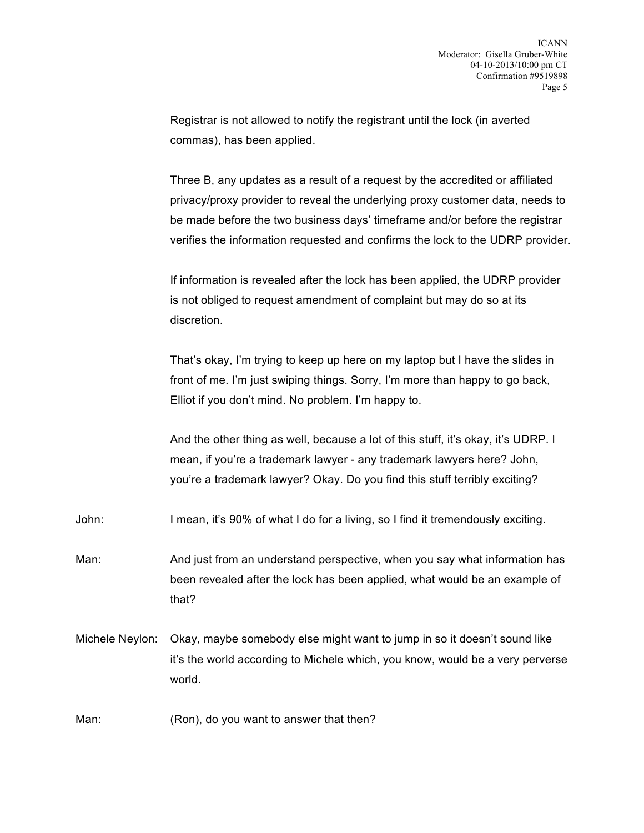Registrar is not allowed to notify the registrant until the lock (in averted commas), has been applied.

Three B, any updates as a result of a request by the accredited or affiliated privacy/proxy provider to reveal the underlying proxy customer data, needs to be made before the two business days' timeframe and/or before the registrar verifies the information requested and confirms the lock to the UDRP provider.

If information is revealed after the lock has been applied, the UDRP provider is not obliged to request amendment of complaint but may do so at its discretion.

That's okay, I'm trying to keep up here on my laptop but I have the slides in front of me. I'm just swiping things. Sorry, I'm more than happy to go back, Elliot if you don't mind. No problem. I'm happy to.

And the other thing as well, because a lot of this stuff, it's okay, it's UDRP. I mean, if you're a trademark lawyer - any trademark lawyers here? John, you're a trademark lawyer? Okay. Do you find this stuff terribly exciting?

John: I mean, it's 90% of what I do for a living, so I find it tremendously exciting.

Man: And just from an understand perspective, when you say what information has been revealed after the lock has been applied, what would be an example of that?

Michele Neylon: Okay, maybe somebody else might want to jump in so it doesn't sound like it's the world according to Michele which, you know, would be a very perverse world.

Man: (Ron), do you want to answer that then?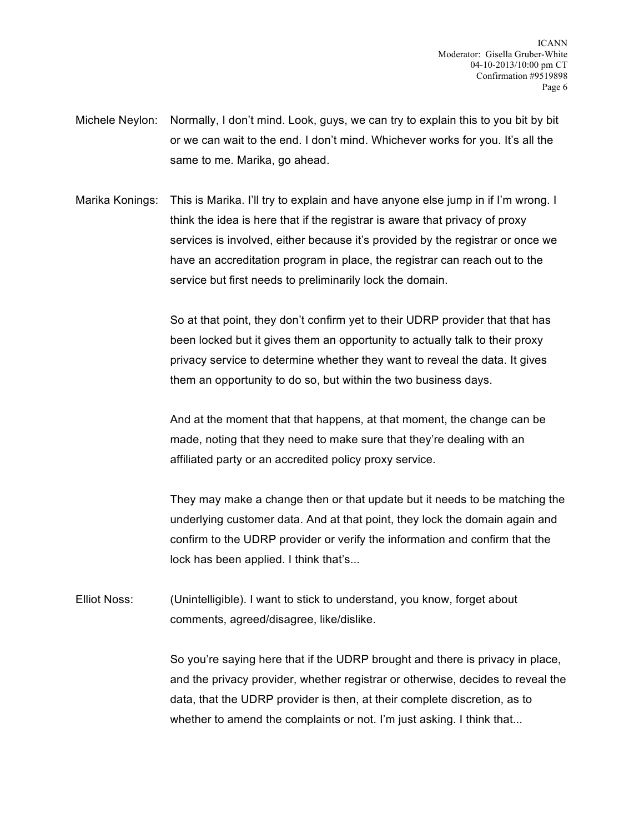- Michele Neylon: Normally, I don't mind. Look, guys, we can try to explain this to you bit by bit or we can wait to the end. I don't mind. Whichever works for you. It's all the same to me. Marika, go ahead.
- Marika Konings: This is Marika. I'll try to explain and have anyone else jump in if I'm wrong. I think the idea is here that if the registrar is aware that privacy of proxy services is involved, either because it's provided by the registrar or once we have an accreditation program in place, the registrar can reach out to the service but first needs to preliminarily lock the domain.

So at that point, they don't confirm yet to their UDRP provider that that has been locked but it gives them an opportunity to actually talk to their proxy privacy service to determine whether they want to reveal the data. It gives them an opportunity to do so, but within the two business days.

And at the moment that that happens, at that moment, the change can be made, noting that they need to make sure that they're dealing with an affiliated party or an accredited policy proxy service.

They may make a change then or that update but it needs to be matching the underlying customer data. And at that point, they lock the domain again and confirm to the UDRP provider or verify the information and confirm that the lock has been applied. I think that's...

Elliot Noss: (Unintelligible). I want to stick to understand, you know, forget about comments, agreed/disagree, like/dislike.

> So you're saying here that if the UDRP brought and there is privacy in place, and the privacy provider, whether registrar or otherwise, decides to reveal the data, that the UDRP provider is then, at their complete discretion, as to whether to amend the complaints or not. I'm just asking. I think that...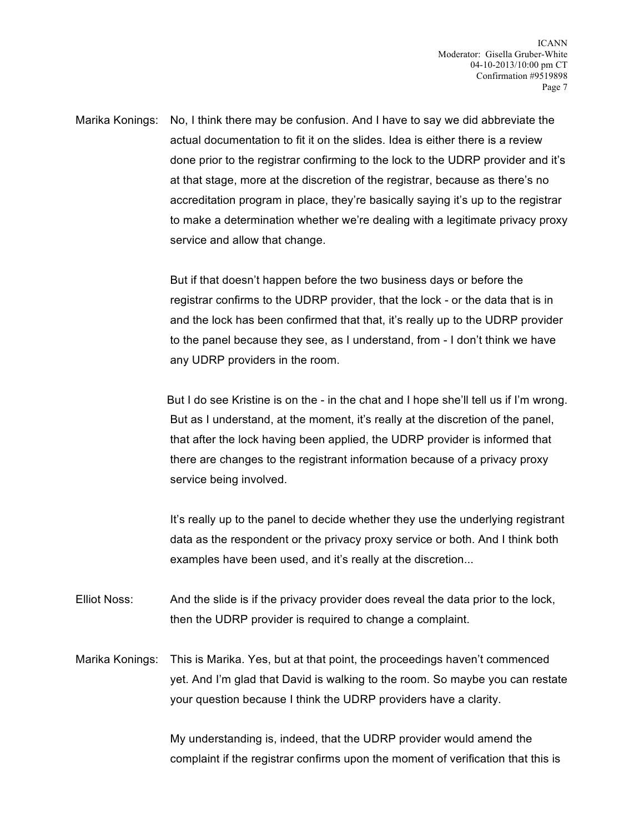Marika Konings: No, I think there may be confusion. And I have to say we did abbreviate the actual documentation to fit it on the slides. Idea is either there is a review done prior to the registrar confirming to the lock to the UDRP provider and it's at that stage, more at the discretion of the registrar, because as there's no accreditation program in place, they're basically saying it's up to the registrar to make a determination whether we're dealing with a legitimate privacy proxy service and allow that change.

> But if that doesn't happen before the two business days or before the registrar confirms to the UDRP provider, that the lock - or the data that is in and the lock has been confirmed that that, it's really up to the UDRP provider to the panel because they see, as I understand, from - I don't think we have any UDRP providers in the room.

But I do see Kristine is on the - in the chat and I hope she'll tell us if I'm wrong. But as I understand, at the moment, it's really at the discretion of the panel, that after the lock having been applied, the UDRP provider is informed that there are changes to the registrant information because of a privacy proxy service being involved.

It's really up to the panel to decide whether they use the underlying registrant data as the respondent or the privacy proxy service or both. And I think both examples have been used, and it's really at the discretion...

Elliot Noss: And the slide is if the privacy provider does reveal the data prior to the lock, then the UDRP provider is required to change a complaint.

Marika Konings: This is Marika. Yes, but at that point, the proceedings haven't commenced yet. And I'm glad that David is walking to the room. So maybe you can restate your question because I think the UDRP providers have a clarity.

> My understanding is, indeed, that the UDRP provider would amend the complaint if the registrar confirms upon the moment of verification that this is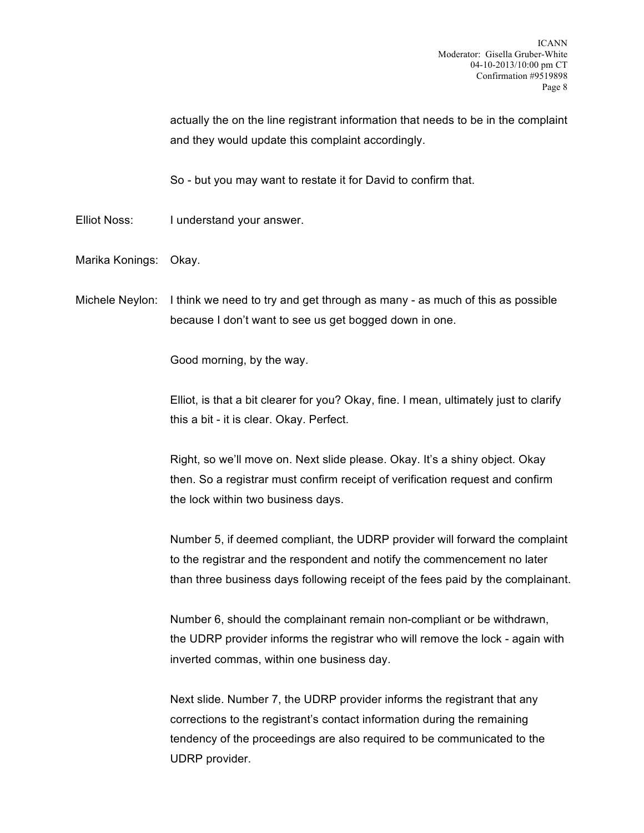actually the on the line registrant information that needs to be in the complaint and they would update this complaint accordingly.

So - but you may want to restate it for David to confirm that.

- Elliot Noss: I understand your answer.
- Marika Konings: Okay.

Michele Neylon: I think we need to try and get through as many - as much of this as possible because I don't want to see us get bogged down in one.

Good morning, by the way.

Elliot, is that a bit clearer for you? Okay, fine. I mean, ultimately just to clarify this a bit - it is clear. Okay. Perfect.

Right, so we'll move on. Next slide please. Okay. It's a shiny object. Okay then. So a registrar must confirm receipt of verification request and confirm the lock within two business days.

Number 5, if deemed compliant, the UDRP provider will forward the complaint to the registrar and the respondent and notify the commencement no later than three business days following receipt of the fees paid by the complainant.

Number 6, should the complainant remain non-compliant or be withdrawn, the UDRP provider informs the registrar who will remove the lock - again with inverted commas, within one business day.

Next slide. Number 7, the UDRP provider informs the registrant that any corrections to the registrant's contact information during the remaining tendency of the proceedings are also required to be communicated to the UDRP provider.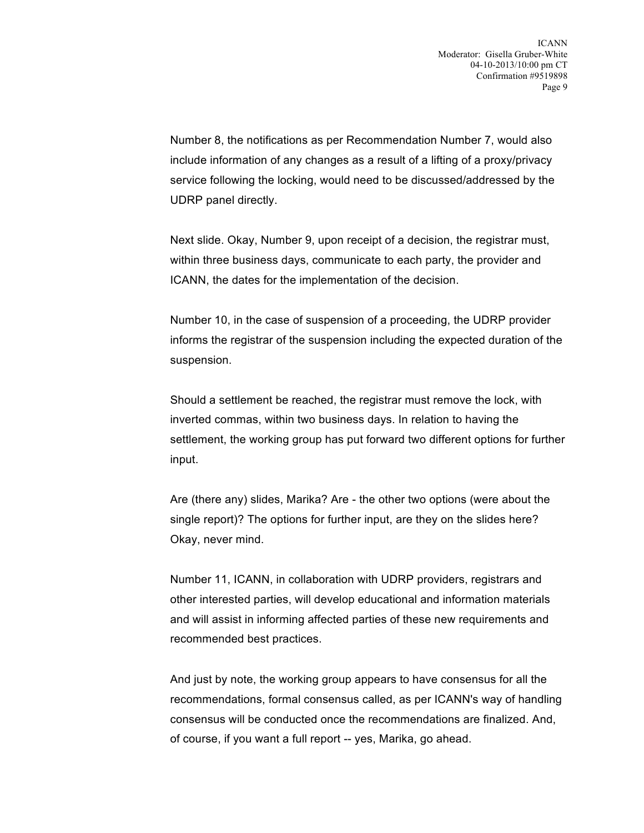Number 8, the notifications as per Recommendation Number 7, would also include information of any changes as a result of a lifting of a proxy/privacy service following the locking, would need to be discussed/addressed by the UDRP panel directly.

Next slide. Okay, Number 9, upon receipt of a decision, the registrar must, within three business days, communicate to each party, the provider and ICANN, the dates for the implementation of the decision.

Number 10, in the case of suspension of a proceeding, the UDRP provider informs the registrar of the suspension including the expected duration of the suspension.

Should a settlement be reached, the registrar must remove the lock, with inverted commas, within two business days. In relation to having the settlement, the working group has put forward two different options for further input.

Are (there any) slides, Marika? Are - the other two options (were about the single report)? The options for further input, are they on the slides here? Okay, never mind.

Number 11, ICANN, in collaboration with UDRP providers, registrars and other interested parties, will develop educational and information materials and will assist in informing affected parties of these new requirements and recommended best practices.

And just by note, the working group appears to have consensus for all the recommendations, formal consensus called, as per ICANN's way of handling consensus will be conducted once the recommendations are finalized. And, of course, if you want a full report -- yes, Marika, go ahead.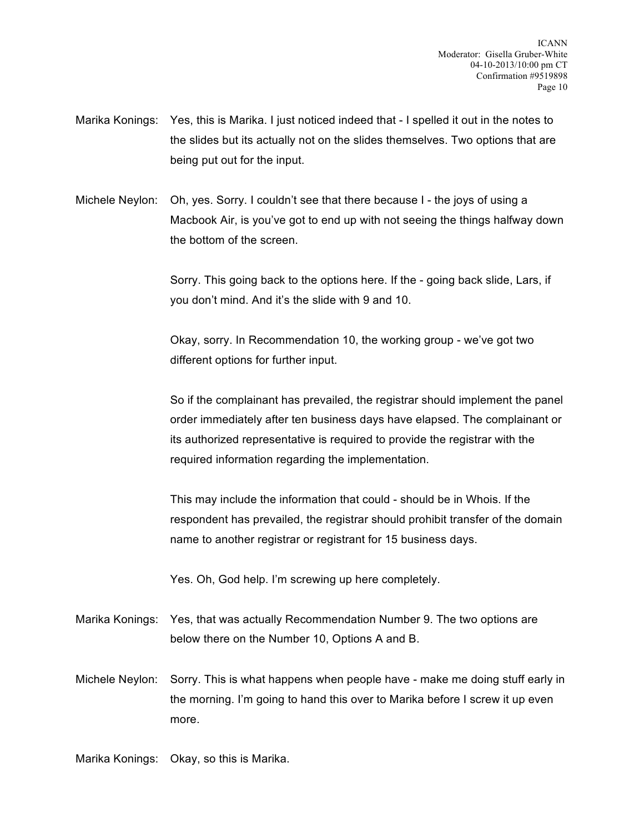Marika Konings: Yes, this is Marika. I just noticed indeed that - I spelled it out in the notes to the slides but its actually not on the slides themselves. Two options that are being put out for the input.

Michele Neylon: Oh, yes. Sorry. I couldn't see that there because I - the joys of using a Macbook Air, is you've got to end up with not seeing the things halfway down the bottom of the screen.

> Sorry. This going back to the options here. If the - going back slide, Lars, if you don't mind. And it's the slide with 9 and 10.

Okay, sorry. In Recommendation 10, the working group - we've got two different options for further input.

So if the complainant has prevailed, the registrar should implement the panel order immediately after ten business days have elapsed. The complainant or its authorized representative is required to provide the registrar with the required information regarding the implementation.

This may include the information that could - should be in Whois. If the respondent has prevailed, the registrar should prohibit transfer of the domain name to another registrar or registrant for 15 business days.

Yes. Oh, God help. I'm screwing up here completely.

- Marika Konings: Yes, that was actually Recommendation Number 9. The two options are below there on the Number 10, Options A and B.
- Michele Neylon: Sorry. This is what happens when people have make me doing stuff early in the morning. I'm going to hand this over to Marika before I screw it up even more.

Marika Konings: Okay, so this is Marika.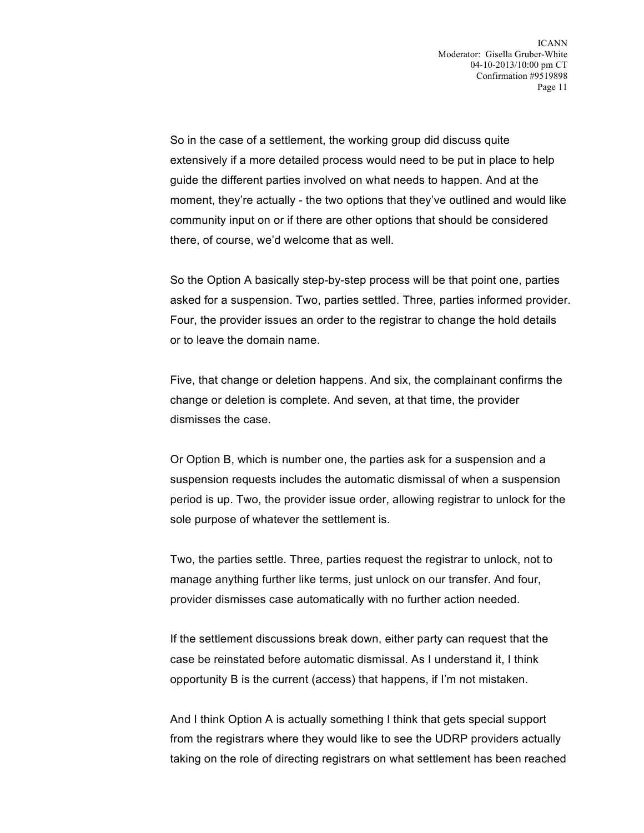So in the case of a settlement, the working group did discuss quite extensively if a more detailed process would need to be put in place to help guide the different parties involved on what needs to happen. And at the moment, they're actually - the two options that they've outlined and would like community input on or if there are other options that should be considered there, of course, we'd welcome that as well.

So the Option A basically step-by-step process will be that point one, parties asked for a suspension. Two, parties settled. Three, parties informed provider. Four, the provider issues an order to the registrar to change the hold details or to leave the domain name.

Five, that change or deletion happens. And six, the complainant confirms the change or deletion is complete. And seven, at that time, the provider dismisses the case.

Or Option B, which is number one, the parties ask for a suspension and a suspension requests includes the automatic dismissal of when a suspension period is up. Two, the provider issue order, allowing registrar to unlock for the sole purpose of whatever the settlement is.

Two, the parties settle. Three, parties request the registrar to unlock, not to manage anything further like terms, just unlock on our transfer. And four, provider dismisses case automatically with no further action needed.

If the settlement discussions break down, either party can request that the case be reinstated before automatic dismissal. As I understand it, I think opportunity B is the current (access) that happens, if I'm not mistaken.

And I think Option A is actually something I think that gets special support from the registrars where they would like to see the UDRP providers actually taking on the role of directing registrars on what settlement has been reached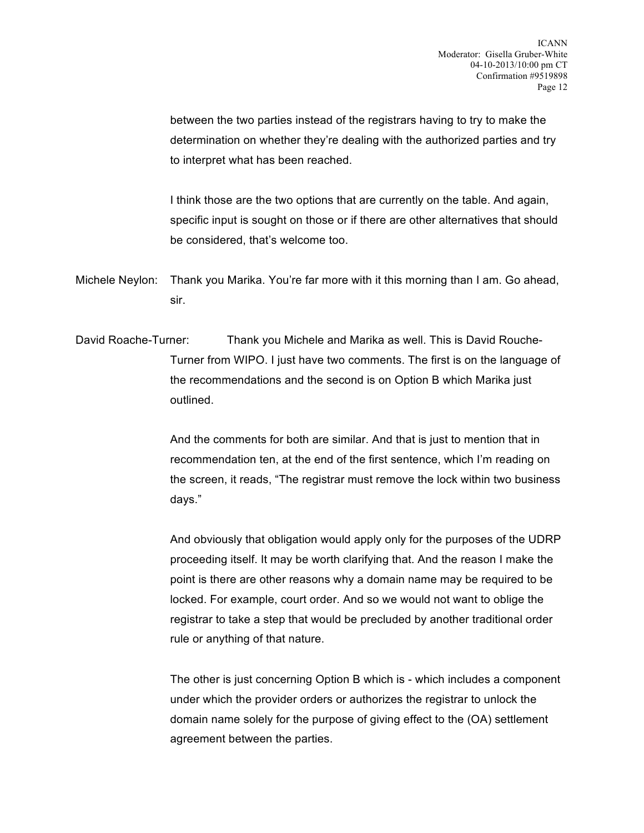between the two parties instead of the registrars having to try to make the determination on whether they're dealing with the authorized parties and try to interpret what has been reached.

I think those are the two options that are currently on the table. And again, specific input is sought on those or if there are other alternatives that should be considered, that's welcome too.

Michele Neylon: Thank you Marika. You're far more with it this morning than I am. Go ahead, sir.

David Roache-Turner: Thank you Michele and Marika as well. This is David Rouche-Turner from WIPO. I just have two comments. The first is on the language of the recommendations and the second is on Option B which Marika just outlined.

> And the comments for both are similar. And that is just to mention that in recommendation ten, at the end of the first sentence, which I'm reading on the screen, it reads, "The registrar must remove the lock within two business days."

> And obviously that obligation would apply only for the purposes of the UDRP proceeding itself. It may be worth clarifying that. And the reason I make the point is there are other reasons why a domain name may be required to be locked. For example, court order. And so we would not want to oblige the registrar to take a step that would be precluded by another traditional order rule or anything of that nature.

> The other is just concerning Option B which is - which includes a component under which the provider orders or authorizes the registrar to unlock the domain name solely for the purpose of giving effect to the (OA) settlement agreement between the parties.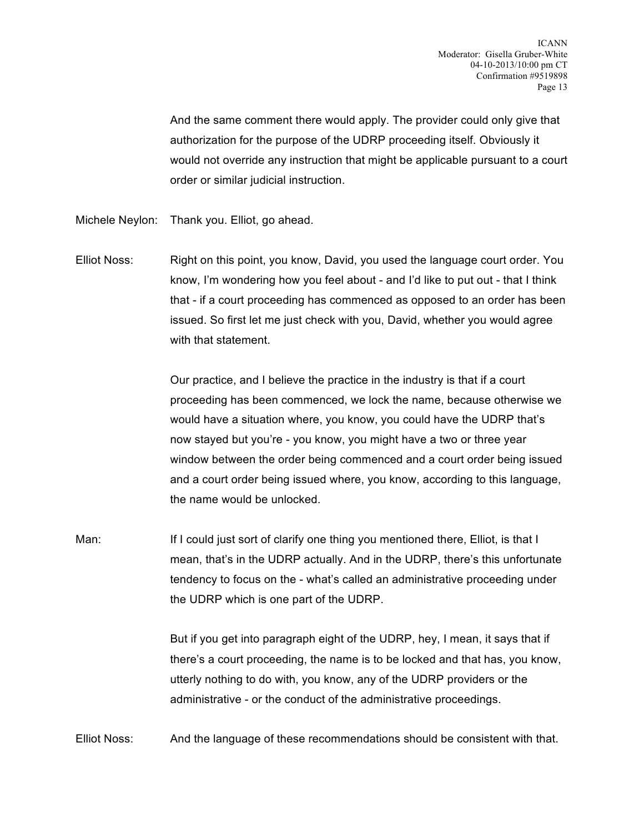And the same comment there would apply. The provider could only give that authorization for the purpose of the UDRP proceeding itself. Obviously it would not override any instruction that might be applicable pursuant to a court order or similar judicial instruction.

- Michele Neylon: Thank you. Elliot, go ahead.
- Elliot Noss: Right on this point, you know, David, you used the language court order. You know, I'm wondering how you feel about - and I'd like to put out - that I think that - if a court proceeding has commenced as opposed to an order has been issued. So first let me just check with you, David, whether you would agree with that statement.

Our practice, and I believe the practice in the industry is that if a court proceeding has been commenced, we lock the name, because otherwise we would have a situation where, you know, you could have the UDRP that's now stayed but you're - you know, you might have a two or three year window between the order being commenced and a court order being issued and a court order being issued where, you know, according to this language, the name would be unlocked.

Man: If I could just sort of clarify one thing you mentioned there, Elliot, is that I mean, that's in the UDRP actually. And in the UDRP, there's this unfortunate tendency to focus on the - what's called an administrative proceeding under the UDRP which is one part of the UDRP.

> But if you get into paragraph eight of the UDRP, hey, I mean, it says that if there's a court proceeding, the name is to be locked and that has, you know, utterly nothing to do with, you know, any of the UDRP providers or the administrative - or the conduct of the administrative proceedings.

Elliot Noss: And the language of these recommendations should be consistent with that.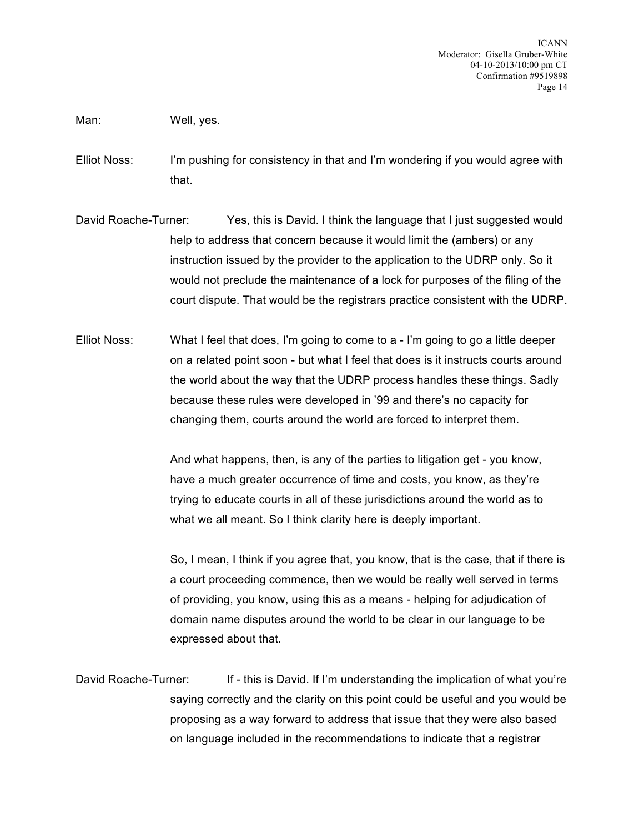Man: Well, yes.

- Elliot Noss: I'm pushing for consistency in that and I'm wondering if you would agree with that.
- David Roache-Turner: Yes, this is David. I think the language that I just suggested would help to address that concern because it would limit the (ambers) or any instruction issued by the provider to the application to the UDRP only. So it would not preclude the maintenance of a lock for purposes of the filing of the court dispute. That would be the registrars practice consistent with the UDRP.
- Elliot Noss: What I feel that does, I'm going to come to a I'm going to go a little deeper on a related point soon - but what I feel that does is it instructs courts around the world about the way that the UDRP process handles these things. Sadly because these rules were developed in '99 and there's no capacity for changing them, courts around the world are forced to interpret them.

And what happens, then, is any of the parties to litigation get - you know, have a much greater occurrence of time and costs, you know, as they're trying to educate courts in all of these jurisdictions around the world as to what we all meant. So I think clarity here is deeply important.

So, I mean, I think if you agree that, you know, that is the case, that if there is a court proceeding commence, then we would be really well served in terms of providing, you know, using this as a means - helping for adjudication of domain name disputes around the world to be clear in our language to be expressed about that.

David Roache-Turner: If - this is David. If I'm understanding the implication of what you're saying correctly and the clarity on this point could be useful and you would be proposing as a way forward to address that issue that they were also based on language included in the recommendations to indicate that a registrar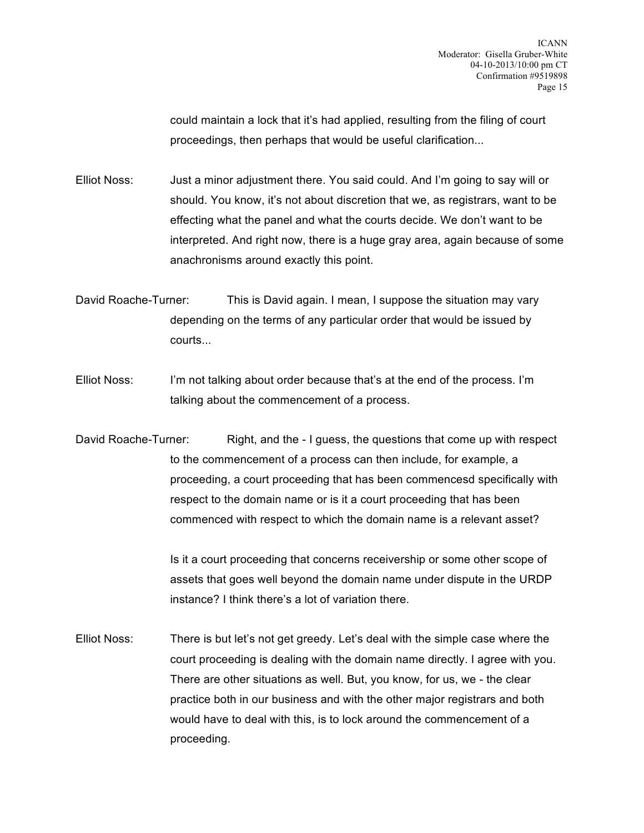could maintain a lock that it's had applied, resulting from the filing of court proceedings, then perhaps that would be useful clarification...

Elliot Noss: Just a minor adjustment there. You said could. And I'm going to say will or should. You know, it's not about discretion that we, as registrars, want to be effecting what the panel and what the courts decide. We don't want to be interpreted. And right now, there is a huge gray area, again because of some anachronisms around exactly this point.

David Roache-Turner: This is David again. I mean, I suppose the situation may vary depending on the terms of any particular order that would be issued by courts...

Elliot Noss: I'm not talking about order because that's at the end of the process. I'm talking about the commencement of a process.

David Roache-Turner: Right, and the - I guess, the questions that come up with respect to the commencement of a process can then include, for example, a proceeding, a court proceeding that has been commencesd specifically with respect to the domain name or is it a court proceeding that has been commenced with respect to which the domain name is a relevant asset?

> Is it a court proceeding that concerns receivership or some other scope of assets that goes well beyond the domain name under dispute in the URDP instance? I think there's a lot of variation there.

Elliot Noss: There is but let's not get greedy. Let's deal with the simple case where the court proceeding is dealing with the domain name directly. I agree with you. There are other situations as well. But, you know, for us, we - the clear practice both in our business and with the other major registrars and both would have to deal with this, is to lock around the commencement of a proceeding.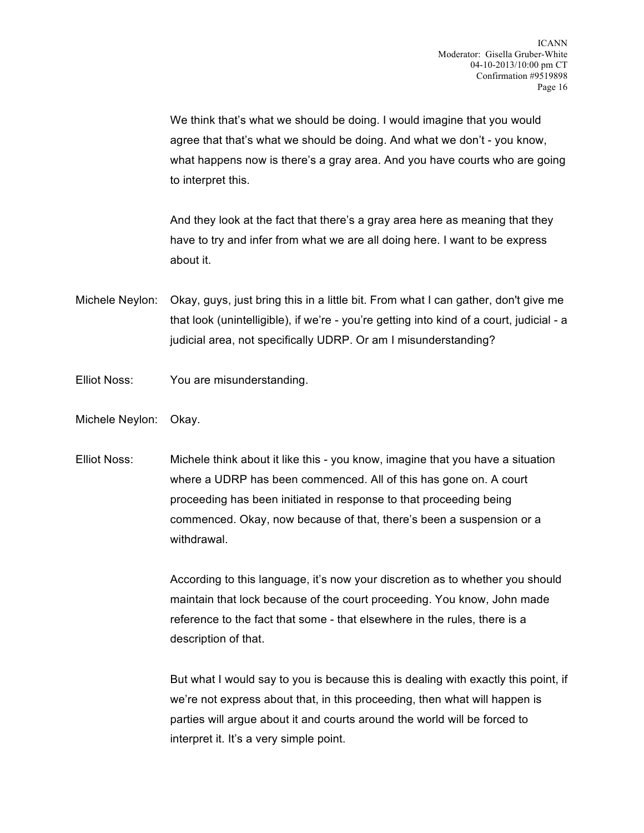We think that's what we should be doing. I would imagine that you would agree that that's what we should be doing. And what we don't - you know, what happens now is there's a gray area. And you have courts who are going to interpret this.

And they look at the fact that there's a gray area here as meaning that they have to try and infer from what we are all doing here. I want to be express about it.

Michele Neylon: Okay, guys, just bring this in a little bit. From what I can gather, don't give me that look (unintelligible), if we're - you're getting into kind of a court, judicial - a judicial area, not specifically UDRP. Or am I misunderstanding?

- Elliot Noss: You are misunderstanding.
- Michele Neylon: Okay.
- Elliot Noss: Michele think about it like this you know, imagine that you have a situation where a UDRP has been commenced. All of this has gone on. A court proceeding has been initiated in response to that proceeding being commenced. Okay, now because of that, there's been a suspension or a withdrawal.

According to this language, it's now your discretion as to whether you should maintain that lock because of the court proceeding. You know, John made reference to the fact that some - that elsewhere in the rules, there is a description of that.

But what I would say to you is because this is dealing with exactly this point, if we're not express about that, in this proceeding, then what will happen is parties will argue about it and courts around the world will be forced to interpret it. It's a very simple point.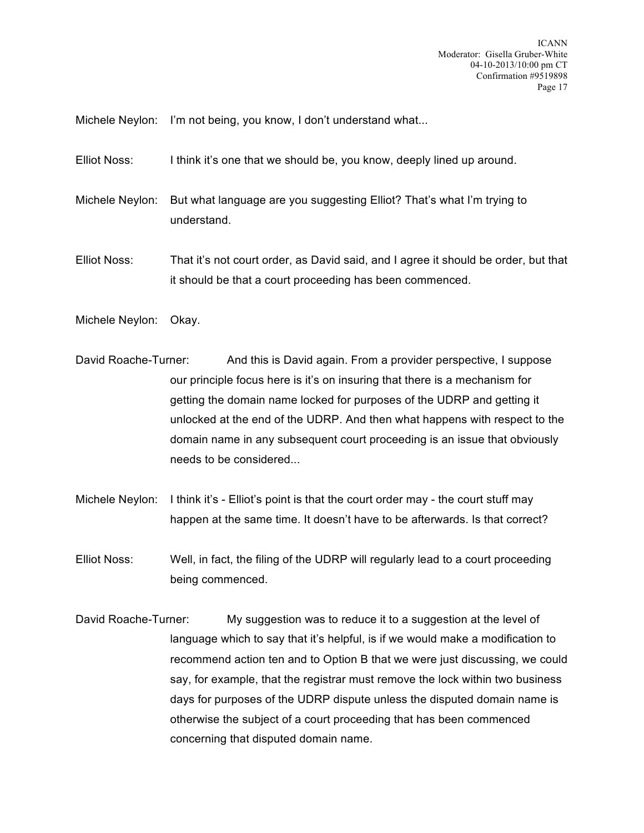Michele Neylon: I'm not being, you know, I don't understand what...

Elliot Noss: I think it's one that we should be, you know, deeply lined up around.

Michele Neylon: But what language are you suggesting Elliot? That's what I'm trying to understand.

Elliot Noss: That it's not court order, as David said, and I agree it should be order, but that it should be that a court proceeding has been commenced.

Michele Neylon: Okay.

- David Roache-Turner: And this is David again. From a provider perspective, I suppose our principle focus here is it's on insuring that there is a mechanism for getting the domain name locked for purposes of the UDRP and getting it unlocked at the end of the UDRP. And then what happens with respect to the domain name in any subsequent court proceeding is an issue that obviously needs to be considered...
- Michele Neylon: I think it's Elliot's point is that the court order may the court stuff may happen at the same time. It doesn't have to be afterwards. Is that correct?
- Elliot Noss: Well, in fact, the filing of the UDRP will regularly lead to a court proceeding being commenced.
- David Roache-Turner: My suggestion was to reduce it to a suggestion at the level of language which to say that it's helpful, is if we would make a modification to recommend action ten and to Option B that we were just discussing, we could say, for example, that the registrar must remove the lock within two business days for purposes of the UDRP dispute unless the disputed domain name is otherwise the subject of a court proceeding that has been commenced concerning that disputed domain name.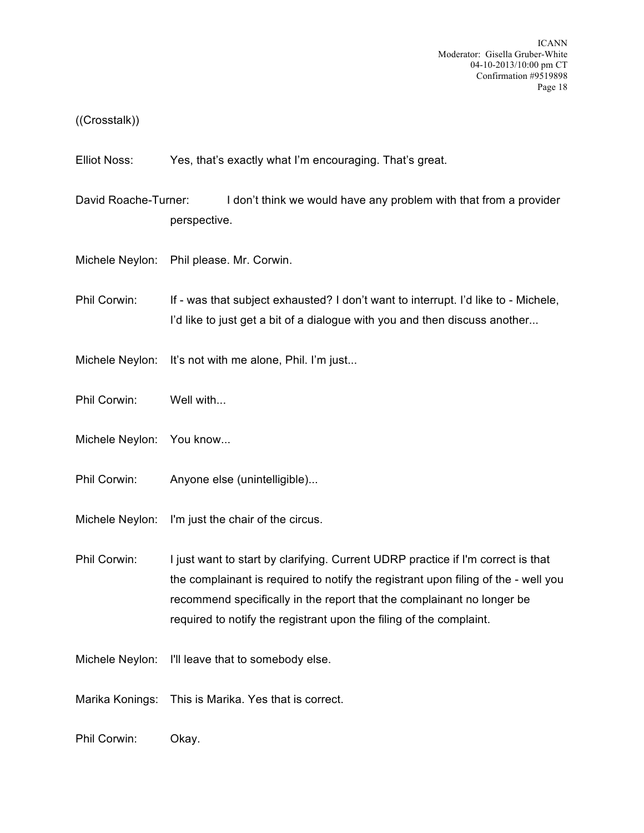## ((Crosstalk))

Elliot Noss: Yes, that's exactly what I'm encouraging. That's great.

- David Roache-Turner: I don't think we would have any problem with that from a provider perspective.
- Michele Neylon: Phil please. Mr. Corwin.
- Phil Corwin: If was that subject exhausted? I don't want to interrupt. I'd like to Michele, I'd like to just get a bit of a dialogue with you and then discuss another...
- Michele Neylon: It's not with me alone, Phil. I'm just...
- Phil Corwin: Well with...
- Michele Neylon: You know...
- Phil Corwin: Anyone else (unintelligible)...
- Michele Neylon: I'm just the chair of the circus.
- Phil Corwin: I just want to start by clarifying. Current UDRP practice if I'm correct is that the complainant is required to notify the registrant upon filing of the - well you recommend specifically in the report that the complainant no longer be required to notify the registrant upon the filing of the complaint.
- Michele Neylon: I'll leave that to somebody else.
- Marika Konings: This is Marika. Yes that is correct.
- Phil Corwin: Okay.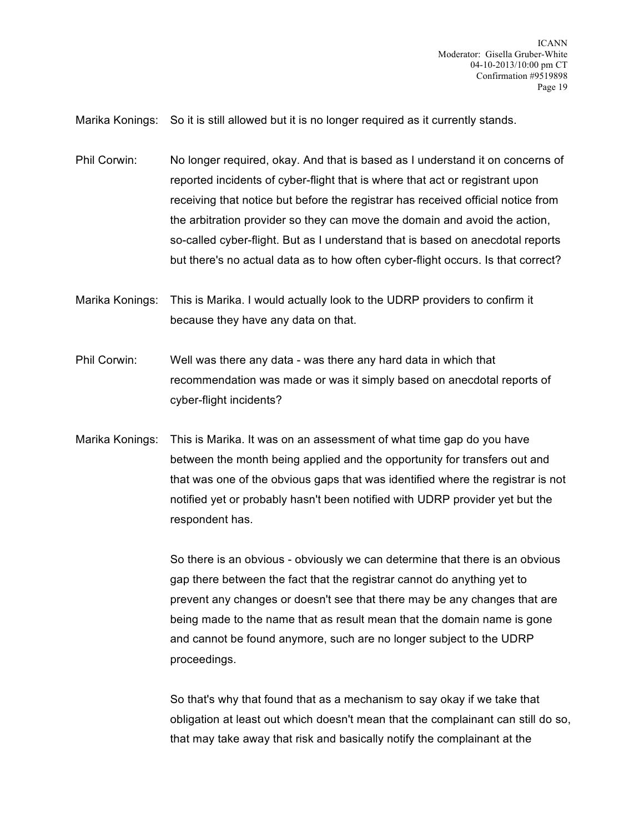Marika Konings: So it is still allowed but it is no longer required as it currently stands.

Phil Corwin: No longer required, okay. And that is based as I understand it on concerns of reported incidents of cyber-flight that is where that act or registrant upon receiving that notice but before the registrar has received official notice from the arbitration provider so they can move the domain and avoid the action, so-called cyber-flight. But as I understand that is based on anecdotal reports but there's no actual data as to how often cyber-flight occurs. Is that correct?

Marika Konings: This is Marika. I would actually look to the UDRP providers to confirm it because they have any data on that.

Phil Corwin: Well was there any data - was there any hard data in which that recommendation was made or was it simply based on anecdotal reports of cyber-flight incidents?

Marika Konings: This is Marika. It was on an assessment of what time gap do you have between the month being applied and the opportunity for transfers out and that was one of the obvious gaps that was identified where the registrar is not notified yet or probably hasn't been notified with UDRP provider yet but the respondent has.

> So there is an obvious - obviously we can determine that there is an obvious gap there between the fact that the registrar cannot do anything yet to prevent any changes or doesn't see that there may be any changes that are being made to the name that as result mean that the domain name is gone and cannot be found anymore, such are no longer subject to the UDRP proceedings.

So that's why that found that as a mechanism to say okay if we take that obligation at least out which doesn't mean that the complainant can still do so, that may take away that risk and basically notify the complainant at the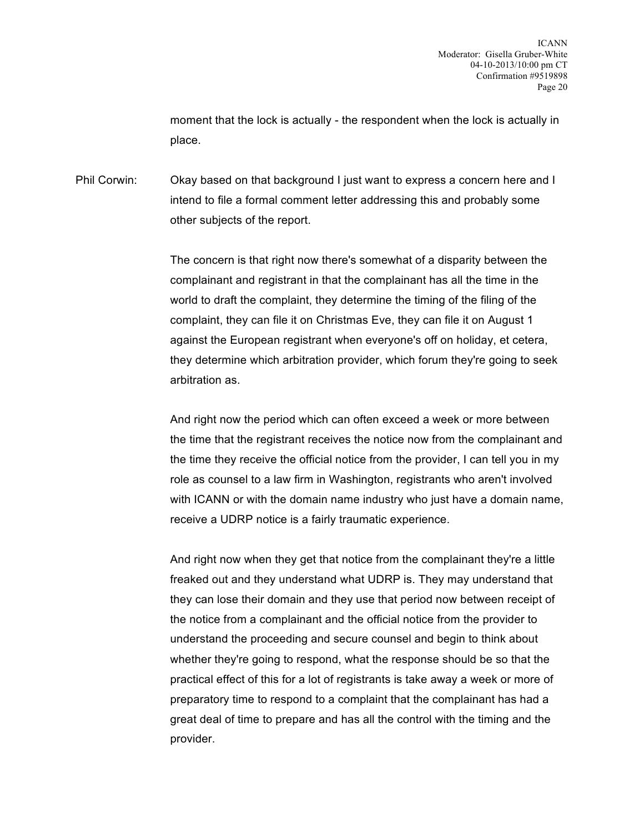moment that the lock is actually - the respondent when the lock is actually in place.

Phil Corwin: Okay based on that background I just want to express a concern here and I intend to file a formal comment letter addressing this and probably some other subjects of the report.

> The concern is that right now there's somewhat of a disparity between the complainant and registrant in that the complainant has all the time in the world to draft the complaint, they determine the timing of the filing of the complaint, they can file it on Christmas Eve, they can file it on August 1 against the European registrant when everyone's off on holiday, et cetera, they determine which arbitration provider, which forum they're going to seek arbitration as.

And right now the period which can often exceed a week or more between the time that the registrant receives the notice now from the complainant and the time they receive the official notice from the provider, I can tell you in my role as counsel to a law firm in Washington, registrants who aren't involved with ICANN or with the domain name industry who just have a domain name, receive a UDRP notice is a fairly traumatic experience.

And right now when they get that notice from the complainant they're a little freaked out and they understand what UDRP is. They may understand that they can lose their domain and they use that period now between receipt of the notice from a complainant and the official notice from the provider to understand the proceeding and secure counsel and begin to think about whether they're going to respond, what the response should be so that the practical effect of this for a lot of registrants is take away a week or more of preparatory time to respond to a complaint that the complainant has had a great deal of time to prepare and has all the control with the timing and the provider.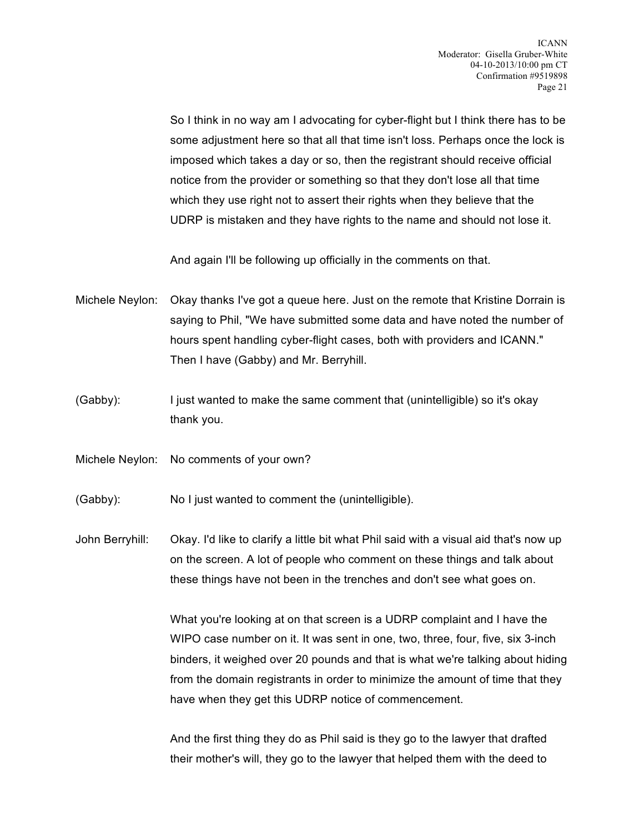So I think in no way am I advocating for cyber-flight but I think there has to be some adjustment here so that all that time isn't loss. Perhaps once the lock is imposed which takes a day or so, then the registrant should receive official notice from the provider or something so that they don't lose all that time which they use right not to assert their rights when they believe that the UDRP is mistaken and they have rights to the name and should not lose it.

And again I'll be following up officially in the comments on that.

Michele Neylon: Okay thanks I've got a queue here. Just on the remote that Kristine Dorrain is saying to Phil, "We have submitted some data and have noted the number of hours spent handling cyber-flight cases, both with providers and ICANN." Then I have (Gabby) and Mr. Berryhill.

- (Gabby): I just wanted to make the same comment that (unintelligible) so it's okay thank you.
- Michele Neylon: No comments of your own?
- (Gabby): No I just wanted to comment the (unintelligible).

John Berryhill: Okay. I'd like to clarify a little bit what Phil said with a visual aid that's now up on the screen. A lot of people who comment on these things and talk about these things have not been in the trenches and don't see what goes on.

> What you're looking at on that screen is a UDRP complaint and I have the WIPO case number on it. It was sent in one, two, three, four, five, six 3-inch binders, it weighed over 20 pounds and that is what we're talking about hiding from the domain registrants in order to minimize the amount of time that they have when they get this UDRP notice of commencement.

And the first thing they do as Phil said is they go to the lawyer that drafted their mother's will, they go to the lawyer that helped them with the deed to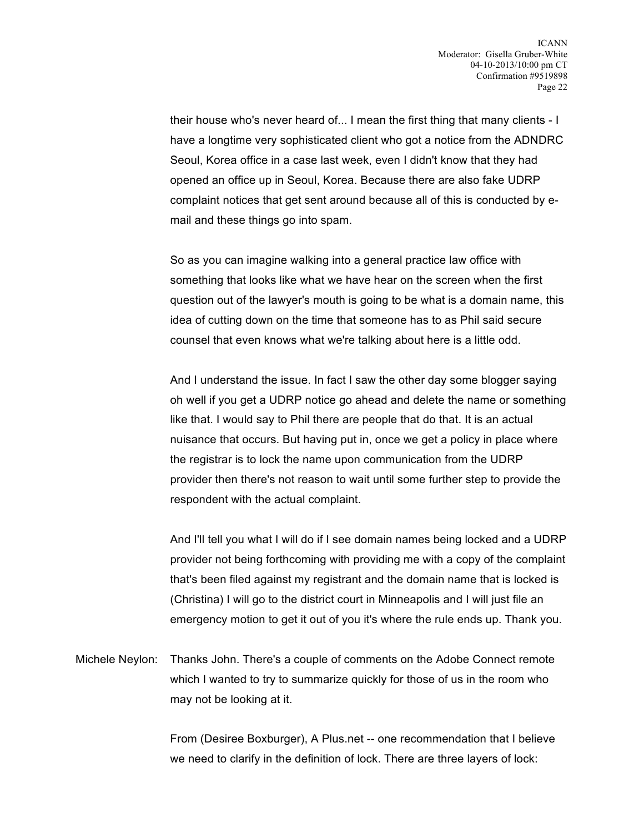their house who's never heard of... I mean the first thing that many clients - I have a longtime very sophisticated client who got a notice from the ADNDRC Seoul, Korea office in a case last week, even I didn't know that they had opened an office up in Seoul, Korea. Because there are also fake UDRP complaint notices that get sent around because all of this is conducted by email and these things go into spam.

So as you can imagine walking into a general practice law office with something that looks like what we have hear on the screen when the first question out of the lawyer's mouth is going to be what is a domain name, this idea of cutting down on the time that someone has to as Phil said secure counsel that even knows what we're talking about here is a little odd.

And I understand the issue. In fact I saw the other day some blogger saying oh well if you get a UDRP notice go ahead and delete the name or something like that. I would say to Phil there are people that do that. It is an actual nuisance that occurs. But having put in, once we get a policy in place where the registrar is to lock the name upon communication from the UDRP provider then there's not reason to wait until some further step to provide the respondent with the actual complaint.

And I'll tell you what I will do if I see domain names being locked and a UDRP provider not being forthcoming with providing me with a copy of the complaint that's been filed against my registrant and the domain name that is locked is (Christina) I will go to the district court in Minneapolis and I will just file an emergency motion to get it out of you it's where the rule ends up. Thank you.

Michele Neylon: Thanks John. There's a couple of comments on the Adobe Connect remote which I wanted to try to summarize quickly for those of us in the room who may not be looking at it.

> From (Desiree Boxburger), A Plus.net -- one recommendation that I believe we need to clarify in the definition of lock. There are three layers of lock: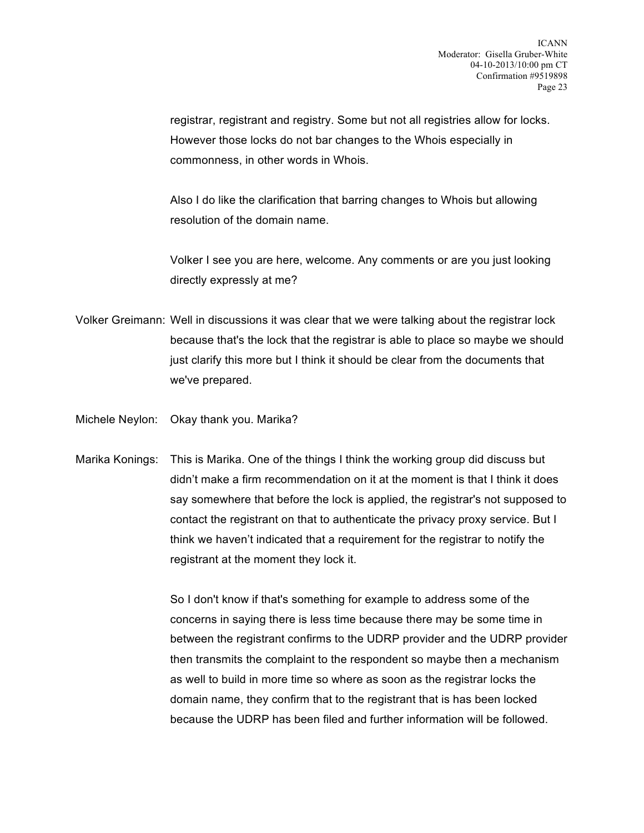registrar, registrant and registry. Some but not all registries allow for locks. However those locks do not bar changes to the Whois especially in commonness, in other words in Whois.

Also I do like the clarification that barring changes to Whois but allowing resolution of the domain name.

Volker I see you are here, welcome. Any comments or are you just looking directly expressly at me?

- Volker Greimann: Well in discussions it was clear that we were talking about the registrar lock because that's the lock that the registrar is able to place so maybe we should just clarify this more but I think it should be clear from the documents that we've prepared.
- Michele Neylon: Okay thank you. Marika?
- Marika Konings: This is Marika. One of the things I think the working group did discuss but didn't make a firm recommendation on it at the moment is that I think it does say somewhere that before the lock is applied, the registrar's not supposed to contact the registrant on that to authenticate the privacy proxy service. But I think we haven't indicated that a requirement for the registrar to notify the registrant at the moment they lock it.

So I don't know if that's something for example to address some of the concerns in saying there is less time because there may be some time in between the registrant confirms to the UDRP provider and the UDRP provider then transmits the complaint to the respondent so maybe then a mechanism as well to build in more time so where as soon as the registrar locks the domain name, they confirm that to the registrant that is has been locked because the UDRP has been filed and further information will be followed.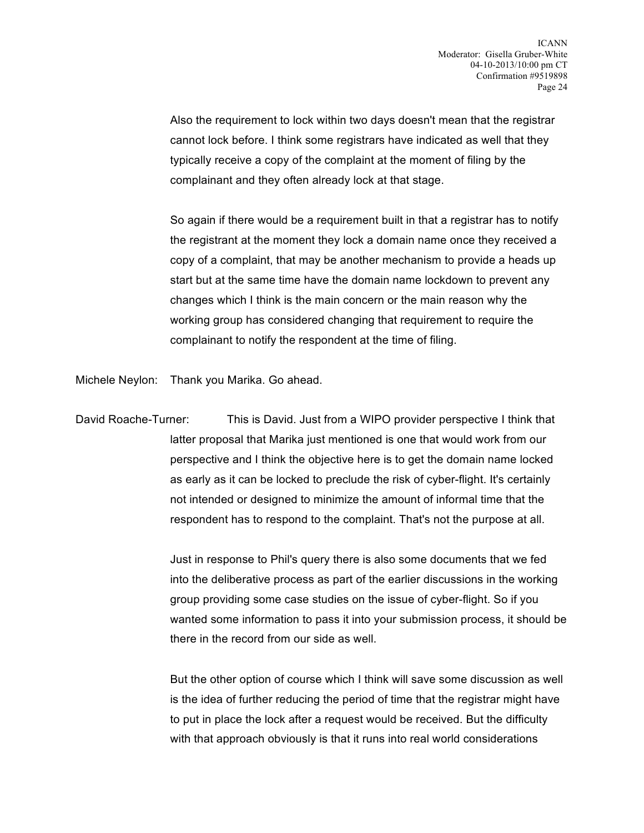Also the requirement to lock within two days doesn't mean that the registrar cannot lock before. I think some registrars have indicated as well that they typically receive a copy of the complaint at the moment of filing by the complainant and they often already lock at that stage.

So again if there would be a requirement built in that a registrar has to notify the registrant at the moment they lock a domain name once they received a copy of a complaint, that may be another mechanism to provide a heads up start but at the same time have the domain name lockdown to prevent any changes which I think is the main concern or the main reason why the working group has considered changing that requirement to require the complainant to notify the respondent at the time of filing.

Michele Neylon: Thank you Marika. Go ahead.

David Roache-Turner: This is David. Just from a WIPO provider perspective I think that latter proposal that Marika just mentioned is one that would work from our perspective and I think the objective here is to get the domain name locked as early as it can be locked to preclude the risk of cyber-flight. It's certainly not intended or designed to minimize the amount of informal time that the respondent has to respond to the complaint. That's not the purpose at all.

> Just in response to Phil's query there is also some documents that we fed into the deliberative process as part of the earlier discussions in the working group providing some case studies on the issue of cyber-flight. So if you wanted some information to pass it into your submission process, it should be there in the record from our side as well.

> But the other option of course which I think will save some discussion as well is the idea of further reducing the period of time that the registrar might have to put in place the lock after a request would be received. But the difficulty with that approach obviously is that it runs into real world considerations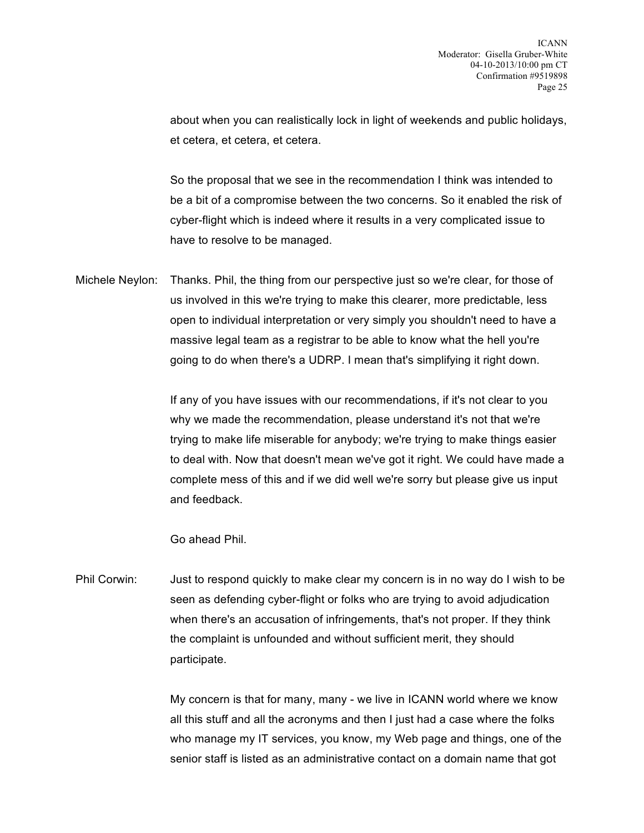about when you can realistically lock in light of weekends and public holidays, et cetera, et cetera, et cetera.

So the proposal that we see in the recommendation I think was intended to be a bit of a compromise between the two concerns. So it enabled the risk of cyber-flight which is indeed where it results in a very complicated issue to have to resolve to be managed.

Michele Neylon: Thanks. Phil, the thing from our perspective just so we're clear, for those of us involved in this we're trying to make this clearer, more predictable, less open to individual interpretation or very simply you shouldn't need to have a massive legal team as a registrar to be able to know what the hell you're going to do when there's a UDRP. I mean that's simplifying it right down.

> If any of you have issues with our recommendations, if it's not clear to you why we made the recommendation, please understand it's not that we're trying to make life miserable for anybody; we're trying to make things easier to deal with. Now that doesn't mean we've got it right. We could have made a complete mess of this and if we did well we're sorry but please give us input and feedback.

Go ahead Phil.

Phil Corwin: Just to respond quickly to make clear my concern is in no way do I wish to be seen as defending cyber-flight or folks who are trying to avoid adjudication when there's an accusation of infringements, that's not proper. If they think the complaint is unfounded and without sufficient merit, they should participate.

> My concern is that for many, many - we live in ICANN world where we know all this stuff and all the acronyms and then I just had a case where the folks who manage my IT services, you know, my Web page and things, one of the senior staff is listed as an administrative contact on a domain name that got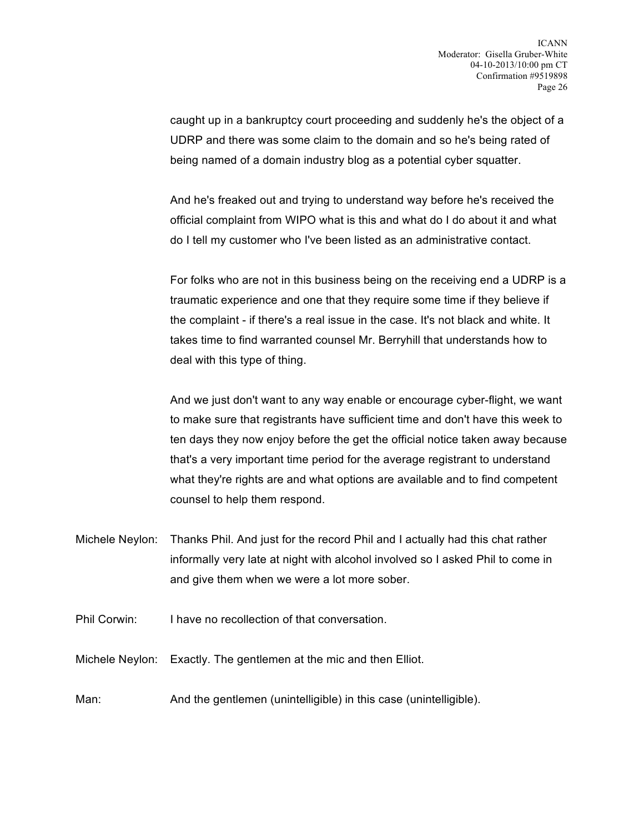caught up in a bankruptcy court proceeding and suddenly he's the object of a UDRP and there was some claim to the domain and so he's being rated of being named of a domain industry blog as a potential cyber squatter.

And he's freaked out and trying to understand way before he's received the official complaint from WIPO what is this and what do I do about it and what do I tell my customer who I've been listed as an administrative contact.

For folks who are not in this business being on the receiving end a UDRP is a traumatic experience and one that they require some time if they believe if the complaint - if there's a real issue in the case. It's not black and white. It takes time to find warranted counsel Mr. Berryhill that understands how to deal with this type of thing.

And we just don't want to any way enable or encourage cyber-flight, we want to make sure that registrants have sufficient time and don't have this week to ten days they now enjoy before the get the official notice taken away because that's a very important time period for the average registrant to understand what they're rights are and what options are available and to find competent counsel to help them respond.

- Michele Neylon: Thanks Phil. And just for the record Phil and I actually had this chat rather informally very late at night with alcohol involved so I asked Phil to come in and give them when we were a lot more sober.
- Phil Corwin: I have no recollection of that conversation.

Michele Neylon: Exactly. The gentlemen at the mic and then Elliot.

Man: And the gentlemen (unintelligible) in this case (unintelligible).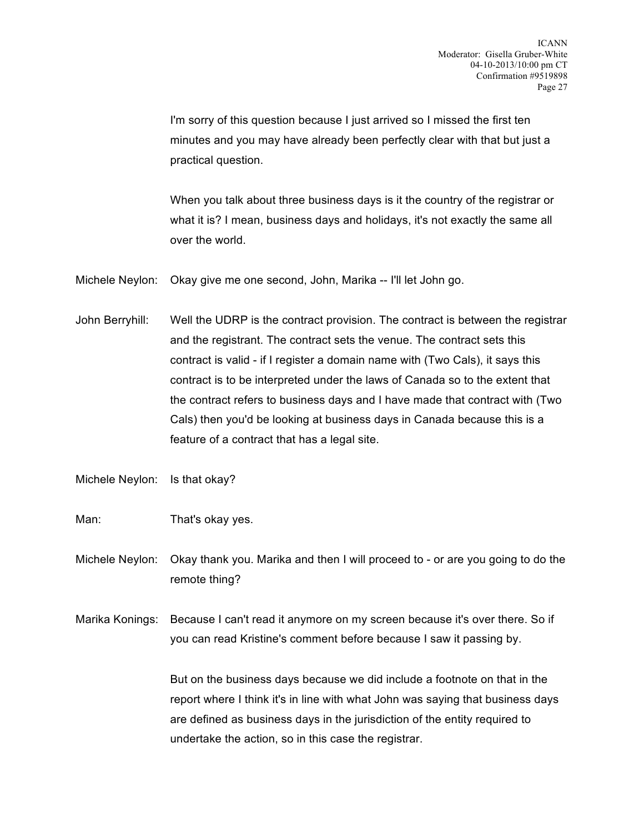I'm sorry of this question because I just arrived so I missed the first ten minutes and you may have already been perfectly clear with that but just a practical question.

When you talk about three business days is it the country of the registrar or what it is? I mean, business days and holidays, it's not exactly the same all over the world.

Michele Neylon: Okay give me one second, John, Marika -- I'll let John go.

John Berryhill: Well the UDRP is the contract provision. The contract is between the registrar and the registrant. The contract sets the venue. The contract sets this contract is valid - if I register a domain name with (Two Cals), it says this contract is to be interpreted under the laws of Canada so to the extent that the contract refers to business days and I have made that contract with (Two Cals) then you'd be looking at business days in Canada because this is a feature of a contract that has a legal site.

Michele Neylon: Is that okay?

Man: That's okay yes.

Michele Neylon: Okay thank you. Marika and then I will proceed to - or are you going to do the remote thing?

Marika Konings: Because I can't read it anymore on my screen because it's over there. So if you can read Kristine's comment before because I saw it passing by.

> But on the business days because we did include a footnote on that in the report where I think it's in line with what John was saying that business days are defined as business days in the jurisdiction of the entity required to undertake the action, so in this case the registrar.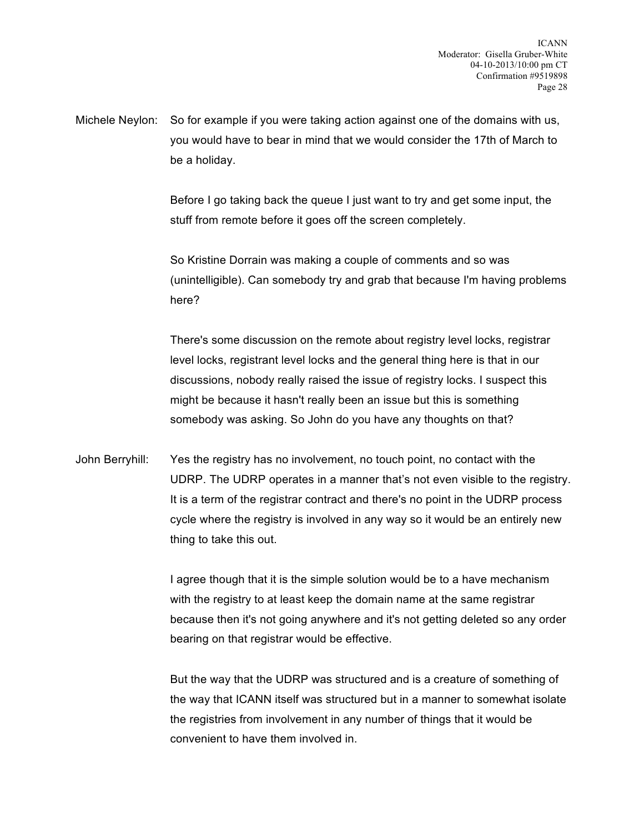Michele Neylon: So for example if you were taking action against one of the domains with us, you would have to bear in mind that we would consider the 17th of March to be a holiday.

> Before I go taking back the queue I just want to try and get some input, the stuff from remote before it goes off the screen completely.

So Kristine Dorrain was making a couple of comments and so was (unintelligible). Can somebody try and grab that because I'm having problems here?

There's some discussion on the remote about registry level locks, registrar level locks, registrant level locks and the general thing here is that in our discussions, nobody really raised the issue of registry locks. I suspect this might be because it hasn't really been an issue but this is something somebody was asking. So John do you have any thoughts on that?

John Berryhill: Yes the registry has no involvement, no touch point, no contact with the UDRP. The UDRP operates in a manner that's not even visible to the registry. It is a term of the registrar contract and there's no point in the UDRP process cycle where the registry is involved in any way so it would be an entirely new thing to take this out.

> I agree though that it is the simple solution would be to a have mechanism with the registry to at least keep the domain name at the same registrar because then it's not going anywhere and it's not getting deleted so any order bearing on that registrar would be effective.

> But the way that the UDRP was structured and is a creature of something of the way that ICANN itself was structured but in a manner to somewhat isolate the registries from involvement in any number of things that it would be convenient to have them involved in.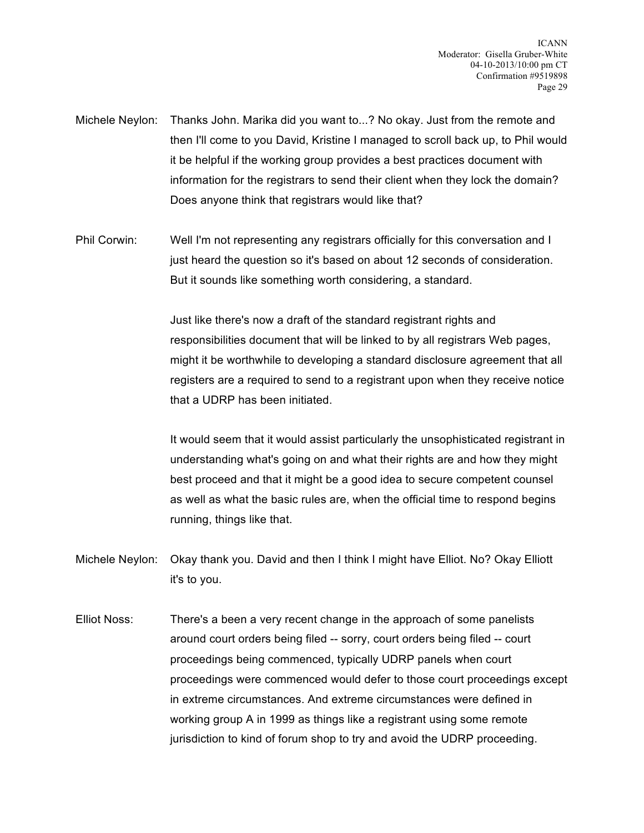- Michele Neylon: Thanks John. Marika did you want to...? No okay. Just from the remote and then I'll come to you David, Kristine I managed to scroll back up, to Phil would it be helpful if the working group provides a best practices document with information for the registrars to send their client when they lock the domain? Does anyone think that registrars would like that?
- Phil Corwin: Well I'm not representing any registrars officially for this conversation and I just heard the question so it's based on about 12 seconds of consideration. But it sounds like something worth considering, a standard.

Just like there's now a draft of the standard registrant rights and responsibilities document that will be linked to by all registrars Web pages, might it be worthwhile to developing a standard disclosure agreement that all registers are a required to send to a registrant upon when they receive notice that a UDRP has been initiated.

It would seem that it would assist particularly the unsophisticated registrant in understanding what's going on and what their rights are and how they might best proceed and that it might be a good idea to secure competent counsel as well as what the basic rules are, when the official time to respond begins running, things like that.

- Michele Neylon: Okay thank you. David and then I think I might have Elliot. No? Okay Elliott it's to you.
- Elliot Noss: There's a been a very recent change in the approach of some panelists around court orders being filed -- sorry, court orders being filed -- court proceedings being commenced, typically UDRP panels when court proceedings were commenced would defer to those court proceedings except in extreme circumstances. And extreme circumstances were defined in working group A in 1999 as things like a registrant using some remote jurisdiction to kind of forum shop to try and avoid the UDRP proceeding.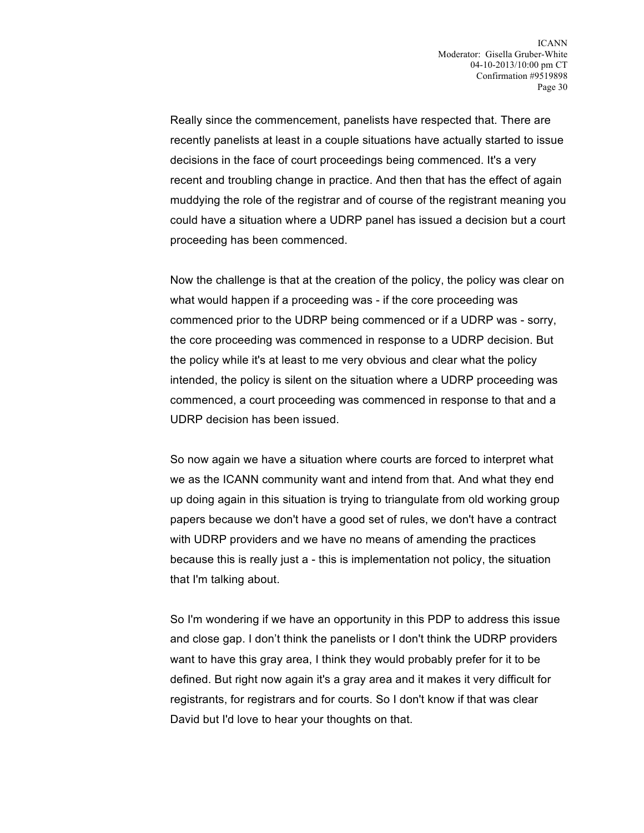Really since the commencement, panelists have respected that. There are recently panelists at least in a couple situations have actually started to issue decisions in the face of court proceedings being commenced. It's a very recent and troubling change in practice. And then that has the effect of again muddying the role of the registrar and of course of the registrant meaning you could have a situation where a UDRP panel has issued a decision but a court proceeding has been commenced.

Now the challenge is that at the creation of the policy, the policy was clear on what would happen if a proceeding was - if the core proceeding was commenced prior to the UDRP being commenced or if a UDRP was - sorry, the core proceeding was commenced in response to a UDRP decision. But the policy while it's at least to me very obvious and clear what the policy intended, the policy is silent on the situation where a UDRP proceeding was commenced, a court proceeding was commenced in response to that and a UDRP decision has been issued.

So now again we have a situation where courts are forced to interpret what we as the ICANN community want and intend from that. And what they end up doing again in this situation is trying to triangulate from old working group papers because we don't have a good set of rules, we don't have a contract with UDRP providers and we have no means of amending the practices because this is really just a - this is implementation not policy, the situation that I'm talking about.

So I'm wondering if we have an opportunity in this PDP to address this issue and close gap. I don't think the panelists or I don't think the UDRP providers want to have this gray area, I think they would probably prefer for it to be defined. But right now again it's a gray area and it makes it very difficult for registrants, for registrars and for courts. So I don't know if that was clear David but I'd love to hear your thoughts on that.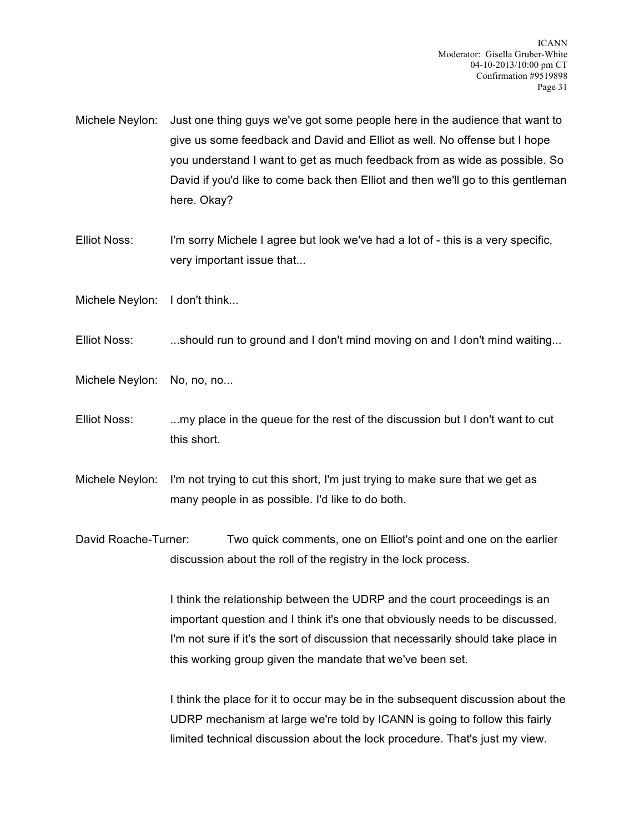- Michele Neylon: Just one thing guys we've got some people here in the audience that want to give us some feedback and David and Elliot as well. No offense but I hope you understand I want to get as much feedback from as wide as possible. So David if you'd like to come back then Elliot and then we'll go to this gentleman here. Okay?
- Elliot Noss: I'm sorry Michele I agree but look we've had a lot of this is a very specific, very important issue that...
- Michele Neylon: I don't think...
- Elliot Noss: ...should run to ground and I don't mind moving on and I don't mind waiting...
- Michele Neylon: No, no, no...
- Elliot Noss: ...my place in the queue for the rest of the discussion but I don't want to cut this short.
- Michele Neylon: I'm not trying to cut this short, I'm just trying to make sure that we get as many people in as possible. I'd like to do both.
- David Roache-Turner: Two quick comments, one on Elliot's point and one on the earlier discussion about the roll of the registry in the lock process.

I think the relationship between the UDRP and the court proceedings is an important question and I think it's one that obviously needs to be discussed. I'm not sure if it's the sort of discussion that necessarily should take place in this working group given the mandate that we've been set.

I think the place for it to occur may be in the subsequent discussion about the UDRP mechanism at large we're told by ICANN is going to follow this fairly limited technical discussion about the lock procedure. That's just my view.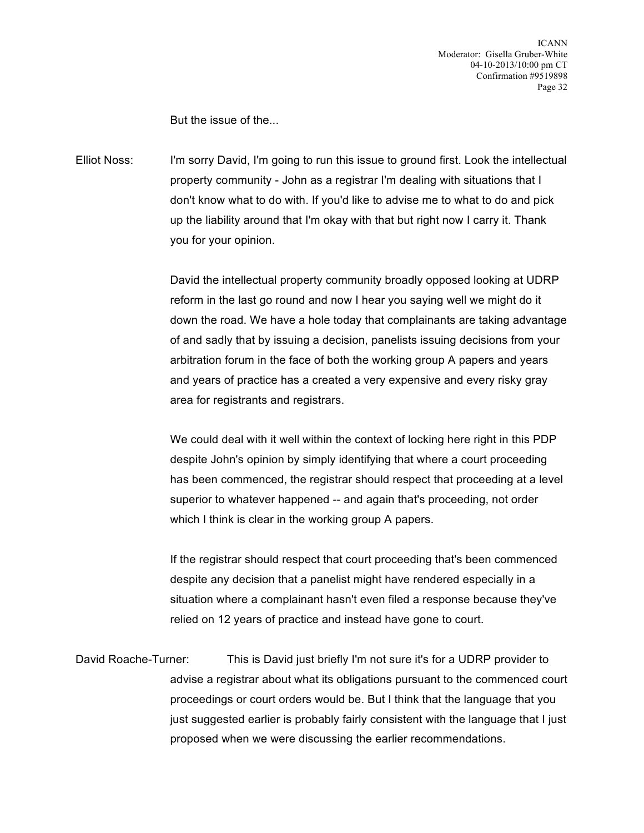But the issue of the...

Elliot Noss: I'm sorry David, I'm going to run this issue to ground first. Look the intellectual property community - John as a registrar I'm dealing with situations that I don't know what to do with. If you'd like to advise me to what to do and pick up the liability around that I'm okay with that but right now I carry it. Thank you for your opinion.

> David the intellectual property community broadly opposed looking at UDRP reform in the last go round and now I hear you saying well we might do it down the road. We have a hole today that complainants are taking advantage of and sadly that by issuing a decision, panelists issuing decisions from your arbitration forum in the face of both the working group A papers and years and years of practice has a created a very expensive and every risky gray area for registrants and registrars.

> We could deal with it well within the context of locking here right in this PDP despite John's opinion by simply identifying that where a court proceeding has been commenced, the registrar should respect that proceeding at a level superior to whatever happened -- and again that's proceeding, not order which I think is clear in the working group A papers.

If the registrar should respect that court proceeding that's been commenced despite any decision that a panelist might have rendered especially in a situation where a complainant hasn't even filed a response because they've relied on 12 years of practice and instead have gone to court.

David Roache-Turner: This is David just briefly I'm not sure it's for a UDRP provider to advise a registrar about what its obligations pursuant to the commenced court proceedings or court orders would be. But I think that the language that you just suggested earlier is probably fairly consistent with the language that I just proposed when we were discussing the earlier recommendations.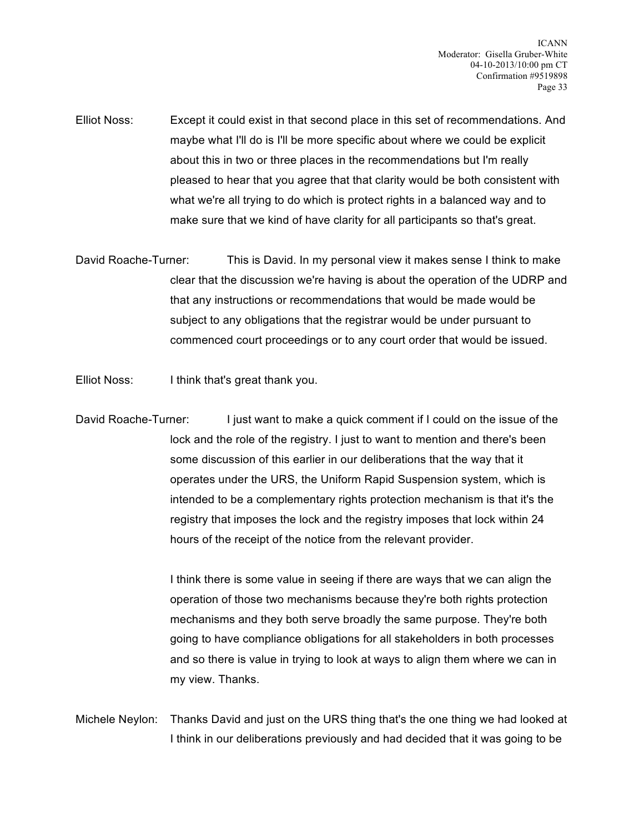- Elliot Noss: Except it could exist in that second place in this set of recommendations. And maybe what I'll do is I'll be more specific about where we could be explicit about this in two or three places in the recommendations but I'm really pleased to hear that you agree that that clarity would be both consistent with what we're all trying to do which is protect rights in a balanced way and to make sure that we kind of have clarity for all participants so that's great.
- David Roache-Turner: This is David. In my personal view it makes sense I think to make clear that the discussion we're having is about the operation of the UDRP and that any instructions or recommendations that would be made would be subject to any obligations that the registrar would be under pursuant to commenced court proceedings or to any court order that would be issued.
- Elliot Noss: I think that's great thank you.
- David Roache-Turner: I just want to make a quick comment if I could on the issue of the lock and the role of the registry. I just to want to mention and there's been some discussion of this earlier in our deliberations that the way that it operates under the URS, the Uniform Rapid Suspension system, which is intended to be a complementary rights protection mechanism is that it's the registry that imposes the lock and the registry imposes that lock within 24 hours of the receipt of the notice from the relevant provider.

I think there is some value in seeing if there are ways that we can align the operation of those two mechanisms because they're both rights protection mechanisms and they both serve broadly the same purpose. They're both going to have compliance obligations for all stakeholders in both processes and so there is value in trying to look at ways to align them where we can in my view. Thanks.

Michele Neylon: Thanks David and just on the URS thing that's the one thing we had looked at I think in our deliberations previously and had decided that it was going to be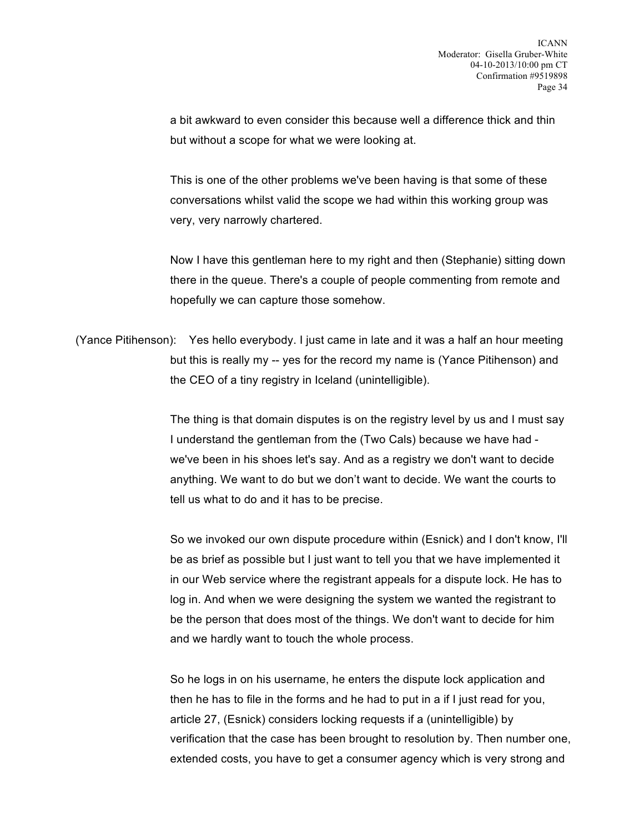a bit awkward to even consider this because well a difference thick and thin but without a scope for what we were looking at.

This is one of the other problems we've been having is that some of these conversations whilst valid the scope we had within this working group was very, very narrowly chartered.

Now I have this gentleman here to my right and then (Stephanie) sitting down there in the queue. There's a couple of people commenting from remote and hopefully we can capture those somehow.

(Yance Pitihenson): Yes hello everybody. I just came in late and it was a half an hour meeting but this is really my -- yes for the record my name is (Yance Pitihenson) and the CEO of a tiny registry in Iceland (unintelligible).

> The thing is that domain disputes is on the registry level by us and I must say I understand the gentleman from the (Two Cals) because we have had we've been in his shoes let's say. And as a registry we don't want to decide anything. We want to do but we don't want to decide. We want the courts to tell us what to do and it has to be precise.

> So we invoked our own dispute procedure within (Esnick) and I don't know, I'll be as brief as possible but I just want to tell you that we have implemented it in our Web service where the registrant appeals for a dispute lock. He has to log in. And when we were designing the system we wanted the registrant to be the person that does most of the things. We don't want to decide for him and we hardly want to touch the whole process.

> So he logs in on his username, he enters the dispute lock application and then he has to file in the forms and he had to put in a if I just read for you, article 27, (Esnick) considers locking requests if a (unintelligible) by verification that the case has been brought to resolution by. Then number one, extended costs, you have to get a consumer agency which is very strong and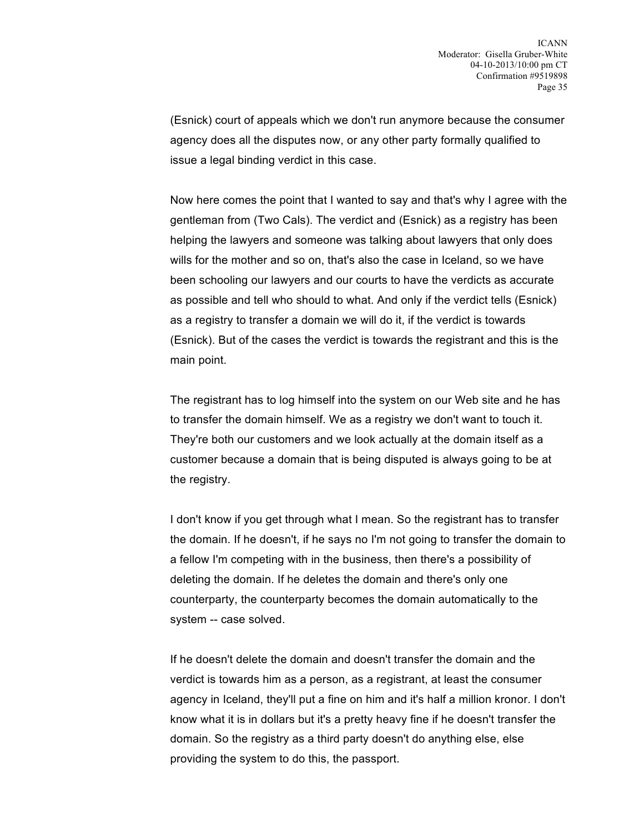(Esnick) court of appeals which we don't run anymore because the consumer agency does all the disputes now, or any other party formally qualified to issue a legal binding verdict in this case.

Now here comes the point that I wanted to say and that's why I agree with the gentleman from (Two Cals). The verdict and (Esnick) as a registry has been helping the lawyers and someone was talking about lawyers that only does wills for the mother and so on, that's also the case in Iceland, so we have been schooling our lawyers and our courts to have the verdicts as accurate as possible and tell who should to what. And only if the verdict tells (Esnick) as a registry to transfer a domain we will do it, if the verdict is towards (Esnick). But of the cases the verdict is towards the registrant and this is the main point.

The registrant has to log himself into the system on our Web site and he has to transfer the domain himself. We as a registry we don't want to touch it. They're both our customers and we look actually at the domain itself as a customer because a domain that is being disputed is always going to be at the registry.

I don't know if you get through what I mean. So the registrant has to transfer the domain. If he doesn't, if he says no I'm not going to transfer the domain to a fellow I'm competing with in the business, then there's a possibility of deleting the domain. If he deletes the domain and there's only one counterparty, the counterparty becomes the domain automatically to the system -- case solved.

If he doesn't delete the domain and doesn't transfer the domain and the verdict is towards him as a person, as a registrant, at least the consumer agency in Iceland, they'll put a fine on him and it's half a million kronor. I don't know what it is in dollars but it's a pretty heavy fine if he doesn't transfer the domain. So the registry as a third party doesn't do anything else, else providing the system to do this, the passport.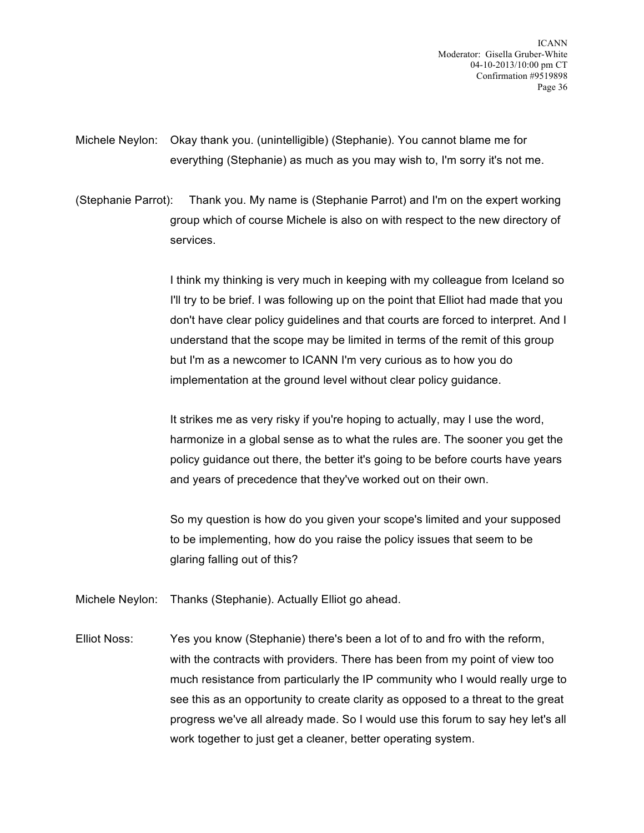Michele Neylon: Okay thank you. (unintelligible) (Stephanie). You cannot blame me for everything (Stephanie) as much as you may wish to, I'm sorry it's not me.

(Stephanie Parrot): Thank you. My name is (Stephanie Parrot) and I'm on the expert working group which of course Michele is also on with respect to the new directory of services.

> I think my thinking is very much in keeping with my colleague from Iceland so I'll try to be brief. I was following up on the point that Elliot had made that you don't have clear policy guidelines and that courts are forced to interpret. And I understand that the scope may be limited in terms of the remit of this group but I'm as a newcomer to ICANN I'm very curious as to how you do implementation at the ground level without clear policy guidance.

> It strikes me as very risky if you're hoping to actually, may I use the word, harmonize in a global sense as to what the rules are. The sooner you get the policy guidance out there, the better it's going to be before courts have years and years of precedence that they've worked out on their own.

> So my question is how do you given your scope's limited and your supposed to be implementing, how do you raise the policy issues that seem to be glaring falling out of this?

Michele Neylon: Thanks (Stephanie). Actually Elliot go ahead.

Elliot Noss: Yes you know (Stephanie) there's been a lot of to and fro with the reform, with the contracts with providers. There has been from my point of view too much resistance from particularly the IP community who I would really urge to see this as an opportunity to create clarity as opposed to a threat to the great progress we've all already made. So I would use this forum to say hey let's all work together to just get a cleaner, better operating system.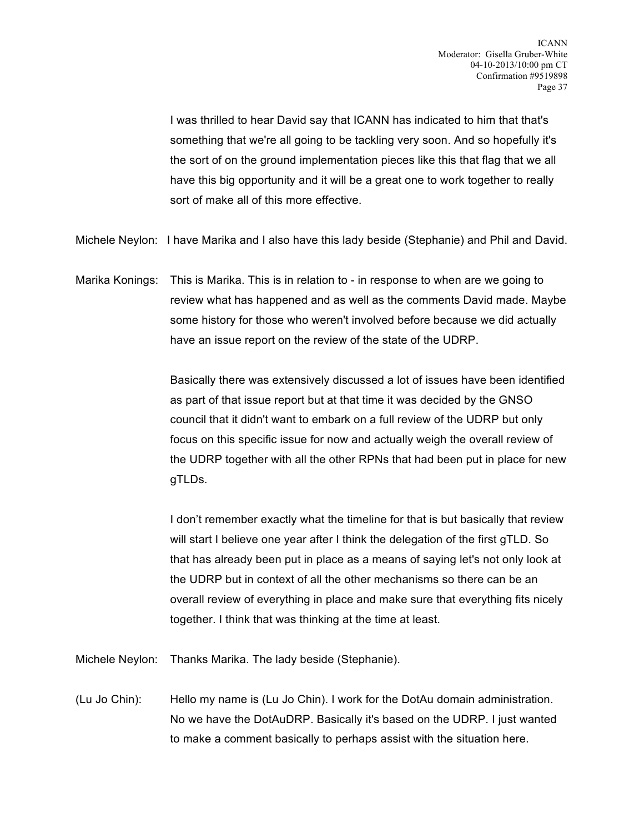I was thrilled to hear David say that ICANN has indicated to him that that's something that we're all going to be tackling very soon. And so hopefully it's the sort of on the ground implementation pieces like this that flag that we all have this big opportunity and it will be a great one to work together to really sort of make all of this more effective.

Michele Neylon: I have Marika and I also have this lady beside (Stephanie) and Phil and David.

Marika Konings: This is Marika. This is in relation to - in response to when are we going to review what has happened and as well as the comments David made. Maybe some history for those who weren't involved before because we did actually have an issue report on the review of the state of the UDRP.

> Basically there was extensively discussed a lot of issues have been identified as part of that issue report but at that time it was decided by the GNSO council that it didn't want to embark on a full review of the UDRP but only focus on this specific issue for now and actually weigh the overall review of the UDRP together with all the other RPNs that had been put in place for new gTLDs.

> I don't remember exactly what the timeline for that is but basically that review will start I believe one year after I think the delegation of the first gTLD. So that has already been put in place as a means of saying let's not only look at the UDRP but in context of all the other mechanisms so there can be an overall review of everything in place and make sure that everything fits nicely together. I think that was thinking at the time at least.

Michele Neylon: Thanks Marika. The lady beside (Stephanie).

(Lu Jo Chin): Hello my name is (Lu Jo Chin). I work for the DotAu domain administration. No we have the DotAuDRP. Basically it's based on the UDRP. I just wanted to make a comment basically to perhaps assist with the situation here.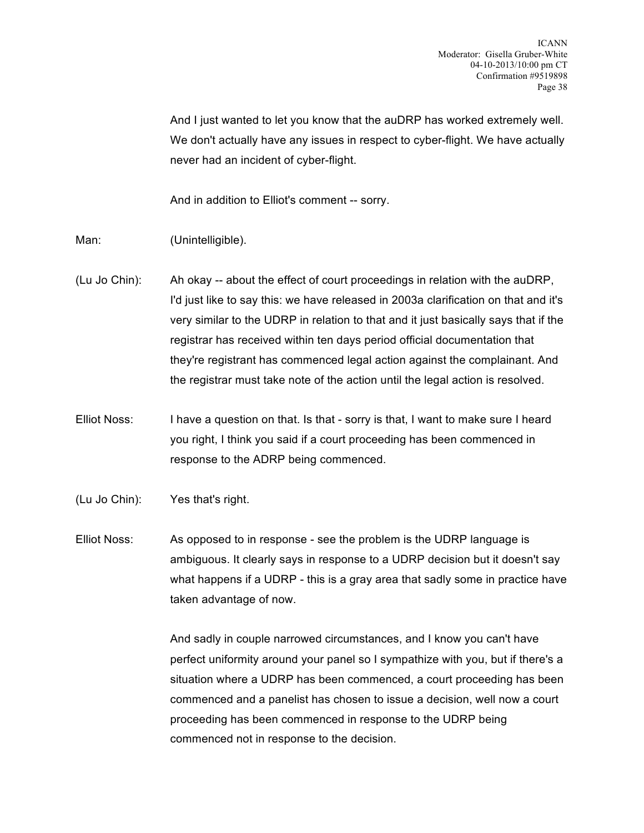And I just wanted to let you know that the auDRP has worked extremely well. We don't actually have any issues in respect to cyber-flight. We have actually never had an incident of cyber-flight.

And in addition to Elliot's comment -- sorry.

- Man: (Unintelligible).
- (Lu Jo Chin): Ah okay -- about the effect of court proceedings in relation with the auDRP, I'd just like to say this: we have released in 2003a clarification on that and it's very similar to the UDRP in relation to that and it just basically says that if the registrar has received within ten days period official documentation that they're registrant has commenced legal action against the complainant. And the registrar must take note of the action until the legal action is resolved.
- Elliot Noss: I have a question on that. Is that sorry is that, I want to make sure I heard you right, I think you said if a court proceeding has been commenced in response to the ADRP being commenced.
- (Lu Jo Chin): Yes that's right.
- Elliot Noss: As opposed to in response see the problem is the UDRP language is ambiguous. It clearly says in response to a UDRP decision but it doesn't say what happens if a UDRP - this is a gray area that sadly some in practice have taken advantage of now.

And sadly in couple narrowed circumstances, and I know you can't have perfect uniformity around your panel so I sympathize with you, but if there's a situation where a UDRP has been commenced, a court proceeding has been commenced and a panelist has chosen to issue a decision, well now a court proceeding has been commenced in response to the UDRP being commenced not in response to the decision.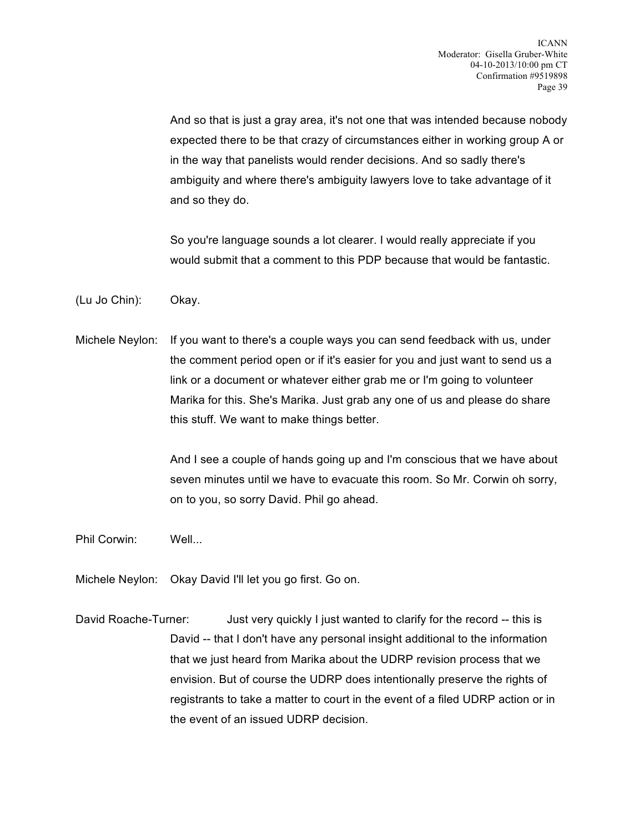And so that is just a gray area, it's not one that was intended because nobody expected there to be that crazy of circumstances either in working group A or in the way that panelists would render decisions. And so sadly there's ambiguity and where there's ambiguity lawyers love to take advantage of it and so they do.

So you're language sounds a lot clearer. I would really appreciate if you would submit that a comment to this PDP because that would be fantastic.

(Lu Jo Chin): Okay.

Michele Neylon: If you want to there's a couple ways you can send feedback with us, under the comment period open or if it's easier for you and just want to send us a link or a document or whatever either grab me or I'm going to volunteer Marika for this. She's Marika. Just grab any one of us and please do share this stuff. We want to make things better.

> And I see a couple of hands going up and I'm conscious that we have about seven minutes until we have to evacuate this room. So Mr. Corwin oh sorry, on to you, so sorry David. Phil go ahead.

Phil Corwin: Well...

- Michele Neylon: Okay David I'll let you go first. Go on.
- David Roache-Turner: Just very quickly I just wanted to clarify for the record -- this is David -- that I don't have any personal insight additional to the information that we just heard from Marika about the UDRP revision process that we envision. But of course the UDRP does intentionally preserve the rights of registrants to take a matter to court in the event of a filed UDRP action or in the event of an issued UDRP decision.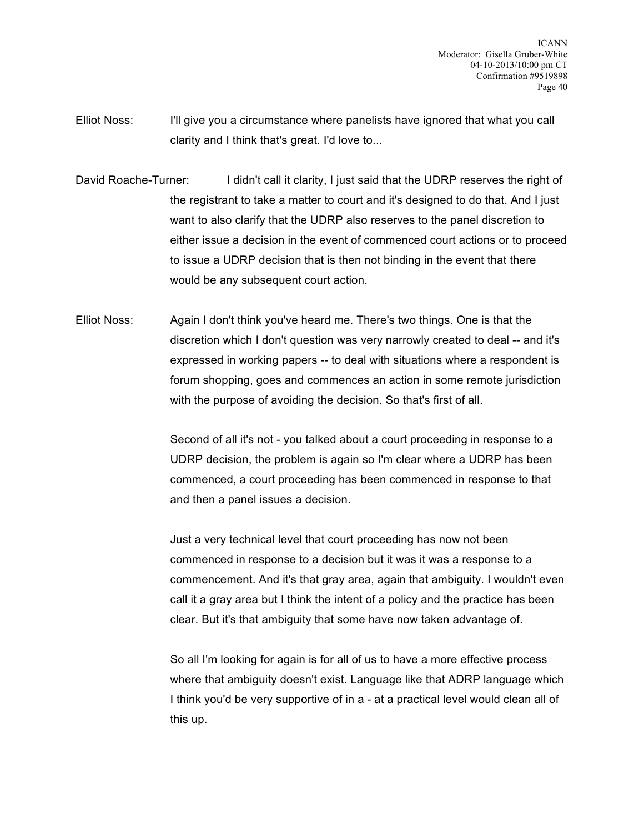- Elliot Noss: I'll give you a circumstance where panelists have ignored that what you call clarity and I think that's great. I'd love to...
- David Roache-Turner: I didn't call it clarity, I just said that the UDRP reserves the right of the registrant to take a matter to court and it's designed to do that. And I just want to also clarify that the UDRP also reserves to the panel discretion to either issue a decision in the event of commenced court actions or to proceed to issue a UDRP decision that is then not binding in the event that there would be any subsequent court action.
- Elliot Noss: Again I don't think you've heard me. There's two things. One is that the discretion which I don't question was very narrowly created to deal -- and it's expressed in working papers -- to deal with situations where a respondent is forum shopping, goes and commences an action in some remote jurisdiction with the purpose of avoiding the decision. So that's first of all.

Second of all it's not - you talked about a court proceeding in response to a UDRP decision, the problem is again so I'm clear where a UDRP has been commenced, a court proceeding has been commenced in response to that and then a panel issues a decision.

Just a very technical level that court proceeding has now not been commenced in response to a decision but it was it was a response to a commencement. And it's that gray area, again that ambiguity. I wouldn't even call it a gray area but I think the intent of a policy and the practice has been clear. But it's that ambiguity that some have now taken advantage of.

So all I'm looking for again is for all of us to have a more effective process where that ambiguity doesn't exist. Language like that ADRP language which I think you'd be very supportive of in a - at a practical level would clean all of this up.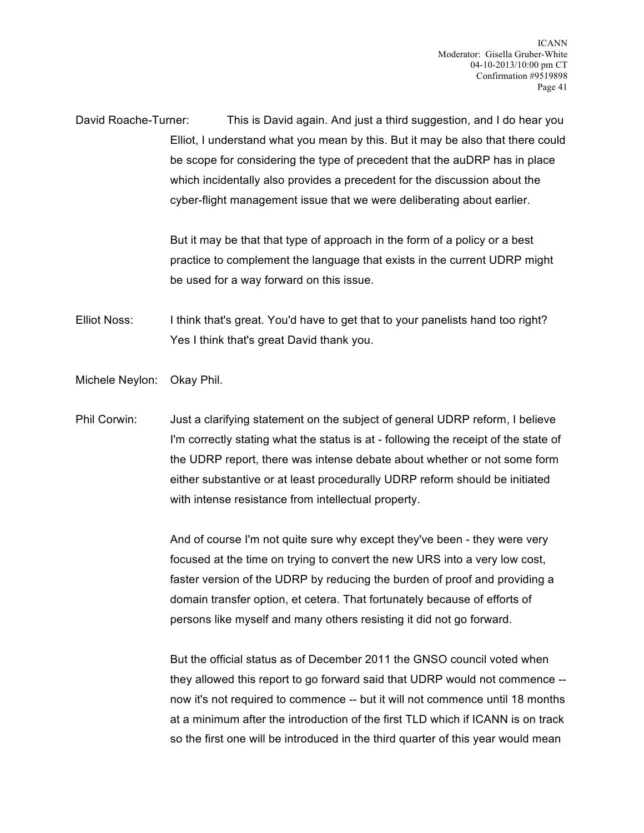David Roache-Turner: This is David again. And just a third suggestion, and I do hear you Elliot, I understand what you mean by this. But it may be also that there could be scope for considering the type of precedent that the auDRP has in place which incidentally also provides a precedent for the discussion about the cyber-flight management issue that we were deliberating about earlier.

> But it may be that that type of approach in the form of a policy or a best practice to complement the language that exists in the current UDRP might be used for a way forward on this issue.

Elliot Noss: I think that's great. You'd have to get that to your panelists hand too right? Yes I think that's great David thank you.

Michele Neylon: Okay Phil.

Phil Corwin: Just a clarifying statement on the subject of general UDRP reform, I believe I'm correctly stating what the status is at - following the receipt of the state of the UDRP report, there was intense debate about whether or not some form either substantive or at least procedurally UDRP reform should be initiated with intense resistance from intellectual property.

> And of course I'm not quite sure why except they've been - they were very focused at the time on trying to convert the new URS into a very low cost, faster version of the UDRP by reducing the burden of proof and providing a domain transfer option, et cetera. That fortunately because of efforts of persons like myself and many others resisting it did not go forward.

But the official status as of December 2011 the GNSO council voted when they allowed this report to go forward said that UDRP would not commence - now it's not required to commence -- but it will not commence until 18 months at a minimum after the introduction of the first TLD which if ICANN is on track so the first one will be introduced in the third quarter of this year would mean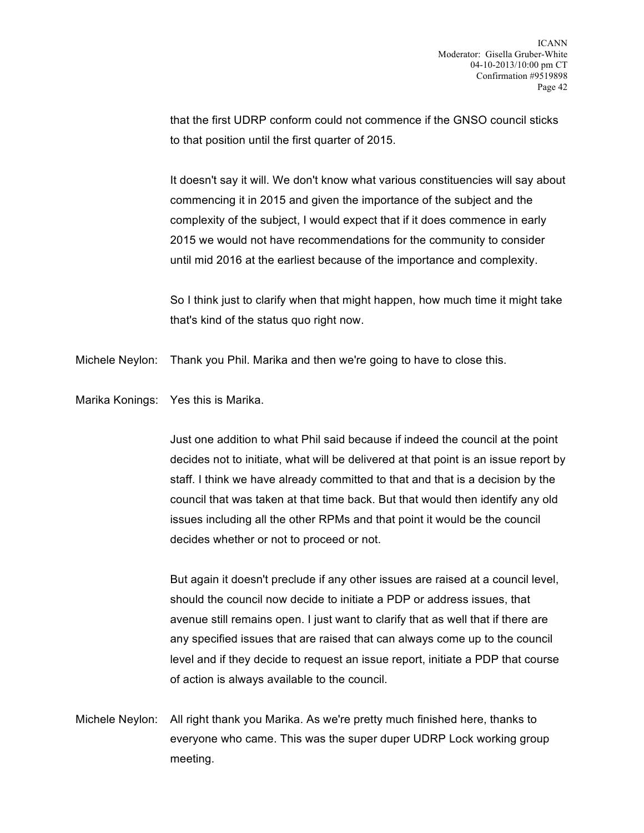that the first UDRP conform could not commence if the GNSO council sticks to that position until the first quarter of 2015.

It doesn't say it will. We don't know what various constituencies will say about commencing it in 2015 and given the importance of the subject and the complexity of the subject, I would expect that if it does commence in early 2015 we would not have recommendations for the community to consider until mid 2016 at the earliest because of the importance and complexity.

So I think just to clarify when that might happen, how much time it might take that's kind of the status quo right now.

Michele Neylon: Thank you Phil. Marika and then we're going to have to close this.

Marika Konings: Yes this is Marika.

Just one addition to what Phil said because if indeed the council at the point decides not to initiate, what will be delivered at that point is an issue report by staff. I think we have already committed to that and that is a decision by the council that was taken at that time back. But that would then identify any old issues including all the other RPMs and that point it would be the council decides whether or not to proceed or not.

But again it doesn't preclude if any other issues are raised at a council level, should the council now decide to initiate a PDP or address issues, that avenue still remains open. I just want to clarify that as well that if there are any specified issues that are raised that can always come up to the council level and if they decide to request an issue report, initiate a PDP that course of action is always available to the council.

Michele Neylon: All right thank you Marika. As we're pretty much finished here, thanks to everyone who came. This was the super duper UDRP Lock working group meeting.